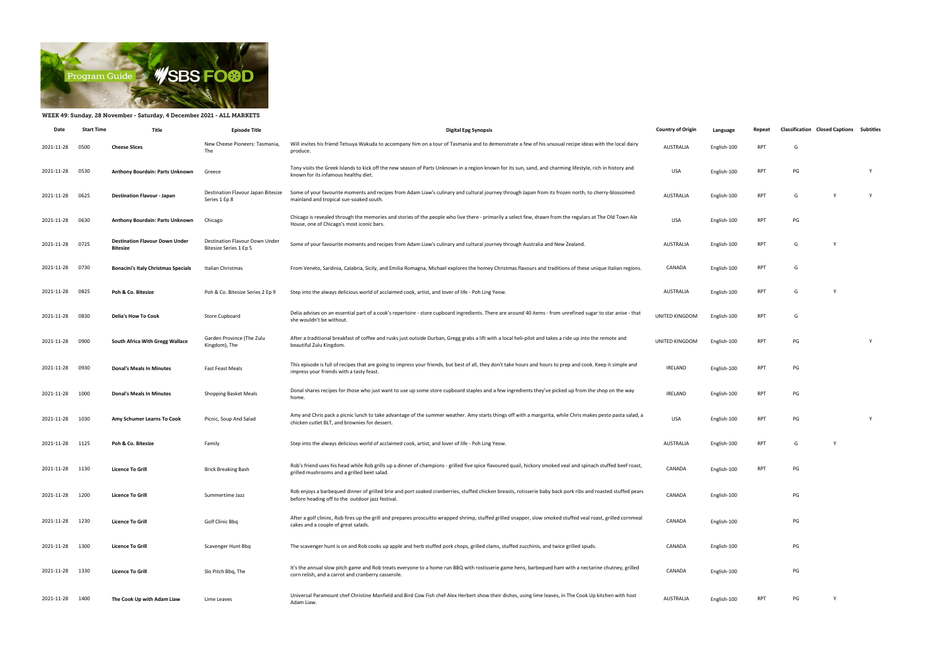

## WEEK 49: Sunday, 28 November - Saturday, 4 December 2021 - ALL MARKETS

| Date            | <b>Start Time</b> | Title                                                    | <b>Episode Title</b>                                     | <b>Digital Epg Synopsis</b>                                                                                                                                                                                      | <b>Country of Origin</b> | Language    | Repeat     | <b>Classification Closed Captions Subtitles</b> |              |   |
|-----------------|-------------------|----------------------------------------------------------|----------------------------------------------------------|------------------------------------------------------------------------------------------------------------------------------------------------------------------------------------------------------------------|--------------------------|-------------|------------|-------------------------------------------------|--------------|---|
| 2021-11-28      | 0500              | <b>Cheese Slices</b>                                     | New Cheese Pioneers: Tasmania,<br>The                    | Will invites his friend Tetsuya Wakuda to accompany him on a tour of Tasmania and to demonstrate a few of his unusual recipe ideas with the local dairy<br>produce.                                              | <b>AUSTRALIA</b>         | English-100 | RPT        | G                                               |              |   |
| 2021-11-28      | 0530              | Anthony Bourdain: Parts Unknown                          | Greece                                                   | Tony visits the Greek Islands to kick off the new season of Parts Unknown in a region known for its sun, sand, and charming lifestyle, rich in history and<br>known for its infamous healthy diet.               | <b>USA</b>               | English-100 | RPT        | PG                                              |              | Y |
| 2021-11-28 0625 |                   | <b>Destination Flavour - Japan</b>                       | Destination Flavour Japan Bitesize<br>Series 1 Ep 8      | Some of your favourite moments and recipes from Adam Liaw's culinary and cultural journey through Japan from its frozen north, to cherry-blossomed<br>mainland and tropical sun-soaked south.                    | <b>AUSTRALIA</b>         | English-100 | <b>RPT</b> | G                                               | Y            | Y |
| 2021-11-28      | 0630              | Anthony Bourdain: Parts Unknown                          | Chicago                                                  | Chicago is revealed through the memories and stories of the people who live there - primarily a select few, drawn from the regulars at The Old Town Ale<br>House, one of Chicago's most iconic bars.             | <b>USA</b>               | English-100 | RPT        | PG                                              |              |   |
| 2021-11-28 0725 |                   | <b>Destination Flavour Down Under</b><br><b>Bitesize</b> | Destination Flavour Down Under<br>Bitesize Series 1 Ep 5 | Some of your favourite moments and recipes from Adam Liaw's culinary and cultural journey through Australia and New Zealand.                                                                                     | <b>AUSTRALIA</b>         | English-100 | RPT        | G                                               | Y            |   |
| 2021-11-28      | 0730              | <b>Bonacini's Italy Christmas Specials</b>               | Italian Christmas                                        | From Veneto, Sardinia, Calabria, Sicily, and Emilia Romagna, Michael explores the homey Christmas flavours and traditions of these unique Italian regions.                                                       | CANADA                   | English-100 | RPT        | G                                               |              |   |
| 2021-11-28      | 0825              | Poh & Co. Bitesize                                       | Poh & Co. Bitesize Series 2 Ep 9                         | Step into the always delicious world of acclaimed cook, artist, and lover of life - Poh Ling Yeow.                                                                                                               | <b>AUSTRALIA</b>         | English-100 | <b>RPT</b> | G                                               |              |   |
| 2021-11-28      | 0830              | <b>Delia's How To Cook</b>                               | Store Cupboard                                           | Delia advises on an essential part of a cook's repertoire - store cupboard ingredients. There are around 40 items - from unrefined sugar to star anise - that<br>she wouldn't be without.                        | UNITED KINGDOM           | English-100 | <b>RPT</b> | G                                               |              |   |
| 2021-11-28      | 0900              | South Africa With Gregg Wallace                          | Garden Province (The Zulu<br>Kingdom), The               | After a traditional breakfast of coffee and rusks just outside Durban, Gregg grabs a lift with a local heli-pilot and takes a ride up into the remote and<br>beautiful Zulu Kingdom.                             | UNITED KINGDOM           | English-100 | RPT        | PG                                              |              | Y |
| 2021-11-28 0930 |                   | <b>Donal's Meals In Minutes</b>                          | <b>Fast Feast Meals</b>                                  | This episode is full of recipes that are going to impress your friends, but best of all, they don't take hours and hours to prep and cook. Keep it simple and<br>impress your friends with a tasty feast.        | <b>IRELAND</b>           | English-100 | RPT        | PG                                              |              |   |
| 2021-11-28      | 1000              | <b>Donal's Meals In Minutes</b>                          | Shopping Basket Meals                                    | Donal shares recipes for those who just want to use up some store cupboard staples and a few ingredients they've picked up from the shop on the way<br>home.                                                     | <b>IRELAND</b>           | English-100 | RPT        | PG                                              |              |   |
| 2021-11-28      | 1030              | Amy Schumer Learns To Cook                               | Picnic, Soup And Salad                                   | Amy and Chris pack a picnic lunch to take advantage of the summer weather. Amy starts things off with a margarita, while Chris makes pesto pasta salad, a<br>chicken cutlet BLT, and brownies for dessert.       | <b>USA</b>               | English-100 | RPT        | PG                                              |              | Y |
| 2021-11-28 1125 |                   | Poh & Co. Bitesize                                       | Family                                                   | Step into the always delicious world of acclaimed cook, artist, and lover of life - Poh Ling Yeow.                                                                                                               | <b>AUSTRALIA</b>         | English-100 | <b>RPT</b> | G                                               | <sup>V</sup> |   |
| 2021-11-28      | 1130              | <b>Licence To Grill</b>                                  | <b>Brick Breaking Bash</b>                               | Rob's friend uses his head while Rob grills up a dinner of champions - grilled five spice flavoured quail, hickory smoked veal and spinach stuffed beef roast,<br>grilled mushrooms and a grilled beet salad.    | CANADA                   | English-100 | RPT        | PG                                              |              |   |
| 2021-11-28      | 1200              | <b>Licence To Grill</b>                                  | Summertime Jazz                                          | Rob enjoys a barbequed dinner of grilled brie and port soaked cranberries, stuffed chicken breasts, rotisserie baby back pork ribs and roasted stuffed pears<br>before heading off to the outdoor jazz festival. | CANADA                   | English-100 |            | PG                                              |              |   |
| 2021-11-28      | 1230              | <b>Licence To Grill</b>                                  | Golf Clinic Bbq                                          | After a golf clininc, Rob fires up the grill and prepares proscuitto wrapped shrimp, stuffed grilled snapper, slow smoked stuffed veal roast, grilled cornmeal<br>cakes and a couple of great salads.            | CANADA                   | English-100 |            | PG                                              |              |   |
| 2021-11-28 1300 |                   | <b>Licence To Grill</b>                                  | Scavenger Hunt Bbq                                       | The scavenger hunt is on and Rob cooks up apple and herb stuffed pork chops, grilled clams, stuffed zucchinis, and twice grilled spuds.                                                                          | CANADA                   | English-100 |            | PG                                              |              |   |
| 2021-11-28      | 1330              | <b>Licence To Grill</b>                                  | Slo Pitch Bbq, The                                       | It's the annual slow pitch game and Rob treats everyone to a home run BBQ with rostisserie game hens, barbequed ham with a nectarine chutney, grilled<br>corn relish, and a carrot and cranberry casserole.      | CANADA                   | English-100 |            | PG                                              |              |   |
| 2021-11-28 1400 |                   | The Cook Up with Adam Liaw                               | Lime Leaves                                              | Universal Paramount chef Christine Manfield and Bird Cow Fish chef Alex Herbert show their dishes, using lime leaves, in The Cook Up kitchen with host<br>Adam Liaw.                                             | <b>AUSTRALIA</b>         | English-100 | RPT        | PG                                              | Y            |   |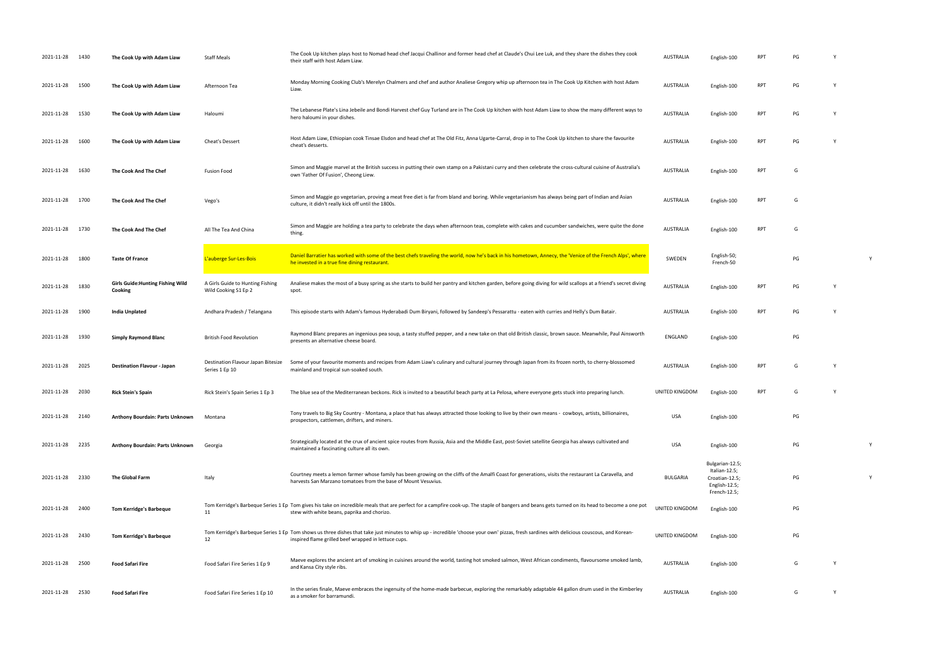| 2021-11-28 1430 |      | The Cook Up with Adam Liaw                          | <b>Staff Meals</b>                                       | The Cook Up kitchen plays host to Nomad head chef Jacqui Challinor and former head chef at Claude's Chui Lee Luk, and they share the dishes they cook<br>their staff with host Adam Liaw.                                                          | <b>AUSTRALIA</b> | English-100                                                                         |            |    |          |   |
|-----------------|------|-----------------------------------------------------|----------------------------------------------------------|----------------------------------------------------------------------------------------------------------------------------------------------------------------------------------------------------------------------------------------------------|------------------|-------------------------------------------------------------------------------------|------------|----|----------|---|
| 2021-11-28 1500 |      | The Cook Up with Adam Liaw                          | Afternoon Tea                                            | Monday Morning Cooking Club's Merelyn Chalmers and chef and author Analiese Gregory whip up afternoon tea in The Cook Up Kitchen with host Adam<br>Liaw.                                                                                           | <b>AUSTRALIA</b> | English-100                                                                         | RPT        | PG | <b>Y</b> |   |
| 2021-11-28 1530 |      | The Cook Up with Adam Liaw                          | Haloumi                                                  | The Lebanese Plate's Lina Jebeile and Bondi Harvest chef Guy Turland are in The Cook Up kitchen with host Adam Liaw to show the many different ways to<br>hero haloumi in your dishes.                                                             | <b>AUSTRALIA</b> | English-100                                                                         | <b>RPT</b> | PG | Y        |   |
| 2021-11-28 1600 |      | The Cook Up with Adam Liaw                          | Cheat's Dessert                                          | Host Adam Liaw, Ethiopian cook Tinsae Elsdon and head chef at The Old Fitz, Anna Ugarte-Carral, drop in to The Cook Up kitchen to share the favourite<br>cheat's desserts.                                                                         | <b>AUSTRALIA</b> | English-100                                                                         | RPT        | PG |          |   |
| 2021-11-28 1630 |      | The Cook And The Chef                               | <b>Fusion Food</b>                                       | Simon and Maggie marvel at the British success in putting their own stamp on a Pakistani curry and then celebrate the cross-cultural cuisine of Australia's<br>own 'Father Of Fusion', Cheong Liew.                                                | <b>AUSTRALIA</b> | English-100                                                                         | <b>RPT</b> | G  |          |   |
| 2021-11-28 1700 |      | The Cook And The Chef                               | Vego's                                                   | Simon and Maggie go vegetarian, proving a meat free diet is far from bland and boring. While vegetarianism has always being part of Indian and Asian<br>culture, it didn't really kick off until the 1800s.                                        | <b>AUSTRALIA</b> | English-100                                                                         | RPT        | G  |          |   |
| 2021-11-28 1730 |      | The Cook And The Chef                               | All The Tea And China                                    | Simon and Maggie are holding a tea party to celebrate the days when afternoon teas, complete with cakes and cucumber sandwiches, were quite the done<br>thing.                                                                                     | <b>AUSTRALIA</b> | English-100                                                                         | RPT        | G  |          |   |
| 2021-11-28      | 1800 | <b>Taste Of France</b>                              | L'auberge Sur-Les-Bois                                   | Daniel Barratier has worked with some of the best chefs traveling the world, now he's back in his hometown, Annecy, the 'Venice of the French Alps', where<br>he invested in a true fine dining restaurant.                                        | SWEDEN           | English-50;<br>French-50                                                            |            | PG |          | Y |
| 2021-11-28 1830 |      | <b>Girls Guide: Hunting Fishing Wild</b><br>Cooking | A Girls Guide to Hunting Fishing<br>Wild Cooking S1 Ep 2 | Analiese makes the most of a busy spring as she starts to build her pantry and kitchen garden, before going diving for wild scallops at a friend's secret diving<br>spot.                                                                          | <b>AUSTRALIA</b> | English-100                                                                         | RPT        | PG |          |   |
| 2021-11-28      | 1900 | India Unplated                                      | Andhara Pradesh / Telangana                              | This episode starts with Adam's famous Hyderabadi Dum Biryani, followed by Sandeep's Pessarattu - eaten with curries and Helly's Dum Batair.                                                                                                       | <b>AUSTRALIA</b> | English-100                                                                         | <b>RPT</b> | PG | Y        |   |
| 2021-11-28      | 1930 | <b>Simply Raymond Blanc</b>                         | <b>British Food Revolution</b>                           | Raymond Blanc prepares an ingenious pea soup, a tasty stuffed pepper, and a new take on that old British classic, brown sauce. Meanwhile, Paul Ainsworth<br>presents an alternative cheese board.                                                  | ENGLAND          | English-100                                                                         |            | PG |          |   |
| 2021-11-28      | 2025 | <b>Destination Flavour - Japan</b>                  | Destination Flavour Japan Bitesize<br>Series 1 Ep 10     | Some of your favourite moments and recipes from Adam Liaw's culinary and cultural journey through Japan from its frozen north, to cherry-blossomed<br>mainland and tropical sun-soaked south.                                                      | <b>AUSTRALIA</b> | English-100                                                                         | <b>RPT</b> | G  | <b>Y</b> |   |
| 2021-11-28      | 2030 | <b>Rick Stein's Spain</b>                           | Rick Stein's Spain Series 1 Ep 3                         | The blue sea of the Mediterranean beckons. Rick is invited to a beautiful beach party at La Pelosa, where everyone gets stuck into preparing lunch.                                                                                                | UNITED KINGDOM   | English-100                                                                         | RPT        | G  | Y        |   |
| 2021-11-28 2140 |      | Anthony Bourdain: Parts Unknown                     | Montana                                                  | Tony travels to Big Sky Country - Montana, a place that has always attracted those looking to live by their own means - cowboys, artists, billionaires,<br>prospectors, cattlemen, drifters, and miners.                                           | <b>USA</b>       | English-100                                                                         |            | PG |          |   |
| 2021-11-28 2235 |      | Anthony Bourdain: Parts Unknown                     | Georgia                                                  | Strategically located at the crux of ancient spice routes from Russia, Asia and the Middle East, post-Soviet satellite Georgia has always cultivated and<br>maintained a fascinating culture all its own.                                          | <b>USA</b>       | English-100                                                                         |            | PG |          | Y |
| 2021-11-28 2330 |      | The Global Farm                                     | Italy                                                    | Courtney meets a lemon farmer whose family has been growing on the cliffs of the Amalfi Coast for generations, visits the restaurant La Caravella, and<br>harvests San Marzano tomatoes from the base of Mount Vesuvius.                           | <b>BULGARIA</b>  | Bulgarian-12.5;<br>Italian-12.5;<br>Croatian-12.5;<br>English-12.5;<br>French-12.5; |            | PG |          | Y |
| 2021-11-28 2400 |      | <b>Tom Kerridge's Barbeque</b>                      | 11                                                       | Tom Kerridge's Barbeque Series 1 Ep Tom gives his take on incredible meals that are perfect for a campfire cook-up. The staple of bangers and beans gets turned on its head to become a one pot<br>stew with white beans, paprika and chorizo.     | UNITED KINGDOM   | English-100                                                                         |            | PG |          |   |
| 2021-11-28 2430 |      | <b>Tom Kerridge's Barbeque</b>                      | 12                                                       | Tom Kerridge's Barbeque Series 1 Ep Tom shows us three dishes that take just minutes to whip up - incredible 'choose your own' pizzas, fresh sardines with delicious couscous, and Korean-<br>inspired flame grilled beef wrapped in lettuce cups. | UNITED KINGDOM   | English-100                                                                         |            | PG |          |   |
| 2021-11-28 2500 |      | <b>Food Safari Fire</b>                             | Food Safari Fire Series 1 Ep 9                           | Maeve explores the ancient art of smoking in cuisines around the world, tasting hot smoked salmon, West African condiments, flavoursome smoked lamb,<br>and Kansa City style ribs.                                                                 | <b>AUSTRALIA</b> | English-100                                                                         |            | G  | Y        |   |
| 2021-11-28 2530 |      | <b>Food Safari Fire</b>                             | Food Safari Fire Series 1 Ep 10                          | In the series finale, Maeve embraces the ingenuity of the home-made barbecue, exploring the remarkably adaptable 44 gallon drum used in the Kimberley<br>as a smoker for barramundi.                                                               | AUSTRALIA        | English-100                                                                         |            | G  | Y        |   |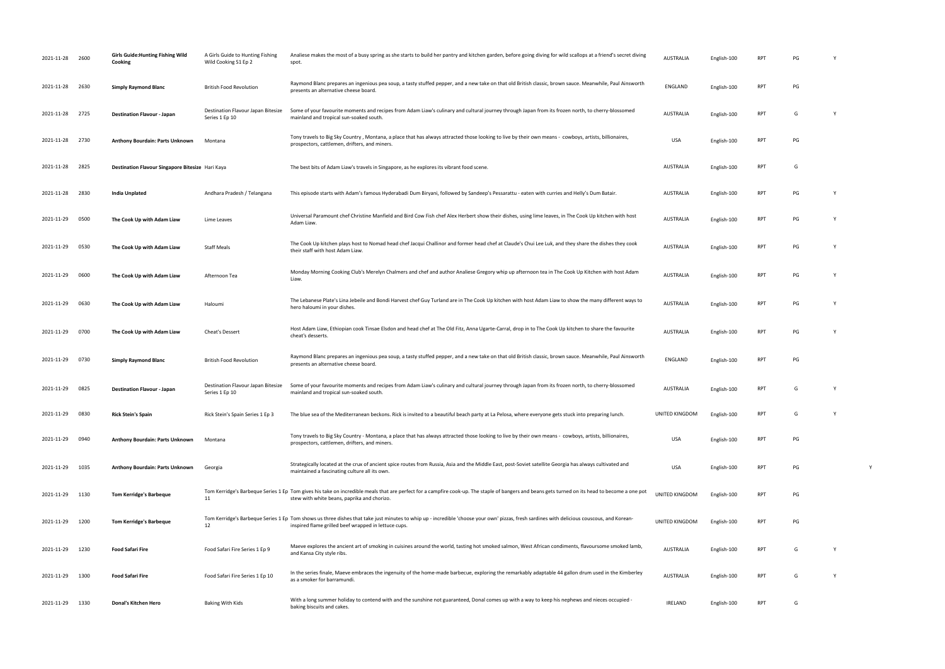| 2021-11-28 2600 |      | <b>Girls Guide: Hunting Fishing Wild</b><br>Cooking | A Girls Guide to Hunting Fishing<br>Wild Cooking S1 Ep 2 | Analiese makes the most of a busy spring as she starts to build her pantry and kitchen garden, before going diving for wild scallops at a friend's secret diving<br>spot.                                                                          | AUSTRALIA        | English-100 |            | PG |          |
|-----------------|------|-----------------------------------------------------|----------------------------------------------------------|----------------------------------------------------------------------------------------------------------------------------------------------------------------------------------------------------------------------------------------------------|------------------|-------------|------------|----|----------|
| 2021-11-28      | 2630 | <b>Simply Raymond Blanc</b>                         | <b>British Food Revolution</b>                           | Raymond Blanc prepares an ingenious pea soup, a tasty stuffed pepper, and a new take on that old British classic, brown sauce. Meanwhile, Paul Ainsworth<br>presents an alternative cheese board.                                                  | ENGLAND          | English-100 | <b>RPT</b> | PG |          |
| 2021-11-28 2725 |      | <b>Destination Flavour - Japan</b>                  | Destination Flavour Japan Bitesize<br>Series 1 Ep 10     | Some of your favourite moments and recipes from Adam Liaw's culinary and cultural journey through Japan from its frozen north, to cherry-blossomed<br>mainland and tropical sun-soaked south.                                                      | AUSTRALIA        | English-100 | <b>RPT</b> | G  |          |
| 2021-11-28 2730 |      | Anthony Bourdain: Parts Unknown                     | Montana                                                  | Tony travels to Big Sky Country, Montana, a place that has always attracted those looking to live by their own means - cowboys, artists, billionaires,<br>prospectors, cattlemen, drifters, and miners.                                            | <b>USA</b>       | English-100 | <b>RPT</b> | PG |          |
| 2021-11-28      | 2825 | Destination Flavour Singapore Bitesize Hari Kaya    |                                                          | The best bits of Adam Liaw's travels in Singapore, as he explores its vibrant food scene.                                                                                                                                                          | AUSTRALIA        | English-100 | <b>RPT</b> | G  |          |
| 2021-11-28      | 2830 | India Unplated                                      | Andhara Pradesh / Telangana                              | This episode starts with Adam's famous Hyderabadi Dum Biryani, followed by Sandeep's Pessarattu - eaten with curries and Helly's Dum Batair.                                                                                                       | AUSTRALIA        | English-100 | <b>RPT</b> | PG | <b>Y</b> |
| 2021-11-29      | 0500 | The Cook Up with Adam Liaw                          | Lime Leaves                                              | Universal Paramount chef Christine Manfield and Bird Cow Fish chef Alex Herbert show their dishes, using lime leaves, in The Cook Up kitchen with host<br>Adam Liaw.                                                                               | <b>AUSTRALIA</b> | English-100 | <b>RPT</b> | PG |          |
| 2021-11-29 0530 |      | The Cook Up with Adam Liaw                          | <b>Staff Meals</b>                                       | The Cook Up kitchen plays host to Nomad head chef Jacqui Challinor and former head chef at Claude's Chui Lee Luk, and they share the dishes they cook<br>their staff with host Adam Liaw.                                                          | AUSTRALIA        | English-100 | <b>RPT</b> | PG |          |
| 2021-11-29      | 0600 | The Cook Up with Adam Liaw                          | Afternoon Tea                                            | Monday Morning Cooking Club's Merelyn Chalmers and chef and author Analiese Gregory whip up afternoon tea in The Cook Up Kitchen with host Adam<br>Liaw.                                                                                           | AUSTRALIA        | English-100 | RPT        | PG |          |
| 2021-11-29      | 0630 | The Cook Up with Adam Liaw                          | Haloumi                                                  | The Lebanese Plate's Lina Jebeile and Bondi Harvest chef Guy Turland are in The Cook Up kitchen with host Adam Liaw to show the many different ways to<br>hero haloumi in your dishes.                                                             | AUSTRALIA        | English-100 | RPT        | PG |          |
| 2021-11-29 0700 |      | The Cook Up with Adam Liaw                          | <b>Cheat's Dessert</b>                                   | Host Adam Liaw, Ethiopian cook Tinsae Elsdon and head chef at The Old Fitz, Anna Ugarte-Carral, drop in to The Cook Up kitchen to share the favourite<br>cheat's desserts.                                                                         | AUSTRALIA        | English-100 | <b>RPT</b> | PG |          |
| 2021-11-29      | 0730 | <b>Simply Raymond Blanc</b>                         | <b>British Food Revolution</b>                           | Raymond Blanc prepares an ingenious pea soup, a tasty stuffed pepper, and a new take on that old British classic, brown sauce. Meanwhile, Paul Ainsworth<br>presents an alternative cheese board.                                                  | ENGLAND          | English-100 | <b>RPT</b> | PG |          |
| 2021-11-29 0825 |      | <b>Destination Flavour - Japan</b>                  | Destination Flavour Japan Bitesize<br>Series 1 Ep 10     | Some of your favourite moments and recipes from Adam Liaw's culinary and cultural journey through Japan from its frozen north, to cherry-blossomed<br>mainland and tropical sun-soaked south                                                       | <b>AUSTRALIA</b> | English-100 | RPT        | G  | Y        |
| 2021-11-29 0830 |      | <b>Rick Stein's Spain</b>                           | Rick Stein's Spain Series 1 Ep 3                         | The blue sea of the Mediterranean beckons. Rick is invited to a beautiful beach party at La Pelosa, where everyone gets stuck into preparing lunch.                                                                                                | UNITED KINGDOM   | English-100 | <b>RPT</b> | G  |          |
| 2021-11-29      | 0940 | Anthony Bourdain: Parts Unknown                     | Montana                                                  | Tony travels to Big Sky Country - Montana, a place that has always attracted those looking to live by their own means - cowboys, artists, billionaires,<br>prospectors, cattlemen, drifters, and miners.                                           | <b>USA</b>       | English-100 | <b>RPT</b> | PG |          |
| 2021-11-29      | 1035 | Anthony Bourdain: Parts Unknown                     | Georgia                                                  | Strategically located at the crux of ancient spice routes from Russia, Asia and the Middle East, post-Soviet satellite Georgia has always cultivated and<br>maintained a fascinating culture all its own.                                          | <b>USA</b>       | English-100 | <b>RPT</b> | PG |          |
| 2021-11-29      | 1130 | <b>Tom Kerridge's Barbeque</b>                      | 11                                                       | Tom Kerridge's Barbeque Series 1 Ep Tom gives his take on incredible meals that are perfect for a campfire cook-up. The staple of bangers and beans gets turned on its head to become a one pot<br>stew with white beans, paprika and chorizo.     | UNITED KINGDOM   | English-100 | <b>RPT</b> | PG |          |
| 2021-11-29      | 1200 | <b>Tom Kerridge's Barbeque</b>                      | 12                                                       | Tom Kerridge's Barbeque Series 1 Ep Tom shows us three dishes that take just minutes to whip up - incredible 'choose your own' pizzas, fresh sardines with delicious couscous, and Korean-<br>inspired flame grilled beef wrapped in lettuce cups. | UNITED KINGDOM   | English-100 | <b>RPT</b> | PG |          |
| 2021-11-29      | 1230 | <b>Food Safari Fire</b>                             | Food Safari Fire Series 1 Ep 9                           | Maeve explores the ancient art of smoking in cuisines around the world, tasting hot smoked salmon, West African condiments, flavoursome smoked lamb,<br>and Kansa City style ribs.                                                                 | AUSTRALIA        | English-100 | <b>RPT</b> | G  |          |
| 2021-11-29 1300 |      | <b>Food Safari Fire</b>                             | Food Safari Fire Series 1 Ep 10                          | In the series finale, Maeve embraces the ingenuity of the home-made barbecue, exploring the remarkably adaptable 44 gallon drum used in the Kimberley<br>as a smoker for barramundi.                                                               | AUSTRALIA        | English-100 | <b>RPT</b> | G  | Y        |
| 2021-11-29 1330 |      | Donal's Kitchen Hero                                | <b>Baking With Kids</b>                                  | With a long summer holiday to contend with and the sunshine not guaranteed, Donal comes up with a way to keep his nephews and nieces occupied -<br>baking biscuits and cakes.                                                                      | IRELAND          | English-100 | RPT        | G  |          |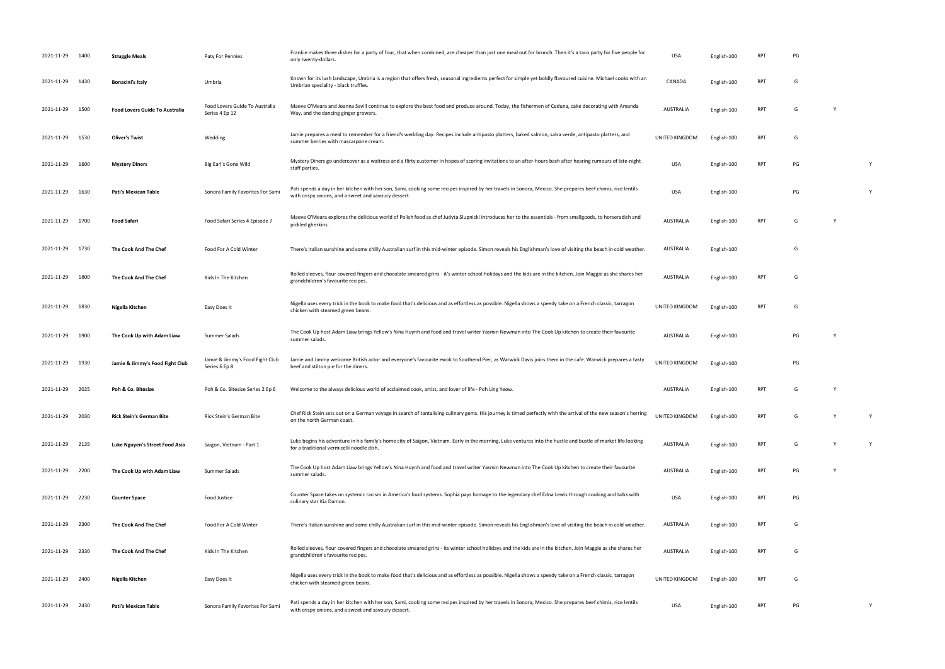| 2021-11-29 1400 |      | <b>Struggle Meals</b>                 | Paty For Pennies                                 | Frankie makes three dishes for a party of four, that when combined, are cheaper than just one meal out for brunch. Then it's a taco party for five people for<br>only twenty-dollars.                               | <b>USA</b>            | English-100 | RP1        | <b>PG</b> |          |   |
|-----------------|------|---------------------------------------|--------------------------------------------------|---------------------------------------------------------------------------------------------------------------------------------------------------------------------------------------------------------------------|-----------------------|-------------|------------|-----------|----------|---|
| 2021-11-29 1430 |      | <b>Bonacini's Italy</b>               | Umbria                                           | Known for its lush landscape, Umbria is a region that offers fresh, seasonal ingredients perfect for simple yet boldly flavoured cuisine. Michael cooks with an<br>Umbrian speciality - black truffles.             | CANADA                | English-100 | RPT        | G         |          |   |
| 2021-11-29      | 1500 | <b>Food Lovers Guide To Australia</b> | Food Lovers Guide To Australia<br>Series 4 Ep 12 | Maeve O'Meara and Joanna Savill continue to explore the best food and produce around. Today, the fishermen of Ceduna, cake decorating with Amanda<br>Way, and the dancing ginger growers.                           | <b>AUSTRALIA</b>      | English-100 | <b>RPT</b> | G         | <b>V</b> |   |
| 2021-11-29      | 1530 | <b>Oliver's Twist</b>                 | Wedding                                          | Jamie prepares a meal to remember for a friend's wedding day. Recipes include antipasto platters, baked salmon, salsa verde, antipasto platters, and<br>summer berries with mascarpone cream.                       | <b>UNITED KINGDOM</b> | English-100 | <b>RPT</b> | G         |          |   |
| 2021-11-29      | 1600 | <b>Mystery Diners</b>                 | Big Earl's Gone Wild                             | Mystery Diners go undercover as a waitress and a flirty customer in hopes of scoring invitations to an after-hours bash after hearing rumours of late-night<br>staff parties.                                       | <b>USA</b>            | English-100 | RPT        | PG        |          | Y |
| 2021-11-29      | 1630 | Pati's Mexican Table                  | Sonora Family Favorites For Sami                 | Pati spends a day in her kitchen with her son, Sami, cooking some recipes inspired by her travels in Sonora, Mexico. She prepares beef chimis, rice lentils<br>with crispy onions, and a sweet and savoury dessert. | USA                   | English-100 |            | PG        |          | Y |
| 2021-11-29      | 1700 | <b>Food Safari</b>                    | Food Safari Series 4 Episode 7                   | Maeve O'Meara explores the delicious world of Polish food as chef Judyta Slupnicki introduces her to the essentials - from smallgoods, to horseradish and<br>pickled gherkins.                                      | <b>AUSTRALIA</b>      | English-100 | RPT        | G         | <b>Y</b> |   |
| 2021-11-29      | 1730 | The Cook And The Chef                 | Food For A Cold Winter                           | There's Italian sunshine and some chilly Australian surf in this mid-winter episode. Simon reveals his Englishman's love of visiting the beach in cold weather.                                                     | AUSTRALIA             | English-100 |            | G         |          |   |
| 2021-11-29      | 1800 | The Cook And The Chef                 | Kids In The Kitchen                              | Rolled sleeves, flour covered fingers and chocolate smeared grins - it's winter school holidays and the kids are in the kitchen. Join Maggie as she shares her<br>grandchildren's favourite recipes.                | <b>AUSTRALIA</b>      | English-100 | RPT        | G         |          |   |
| 2021-11-29      | 1830 | Nigella Kitchen                       | Easy Does It                                     | Nigella uses every trick in the book to make food that's delicious and as effortless as possible. Nigella shows a speedy take on a French classic, tarragon<br>chicken with steamed green beans.                    | UNITED KINGDOM        | English-100 | RPT        | G         |          |   |
| 2021-11-29      | 1900 | The Cook Up with Adam Liaw            | Summer Salads                                    | The Cook Up host Adam Liaw brings Yellow's Nina Huynh and food and travel writer Yasmin Newman into The Cook Up kitchen to create their favourite<br>summer salads.                                                 | <b>AUSTRALIA</b>      | English-100 |            | PG        |          |   |
| 2021-11-29      | 1930 | Jamie & Jimmy's Food Fight Club       | Jamie & Jimmy's Food Fight Club<br>Series 6 Ep 8 | Jamie and Jimmy welcome British actor and everyone's favourite ewok to Southend Pier, as Warwick Davis joins them in the cafe. Warwick prepares a tasty<br>beef and stilton pie for the diners.                     | UNITED KINGDOM        | English-100 |            | PG        |          |   |
| 2021-11-29 2025 |      | Poh & Co. Bitesize                    | Poh & Co. Bitesize Series 2 Ep 6                 | Welcome to the always delicious world of acclaimed cook, artist, and lover of life - Poh Ling Yeow.                                                                                                                 | AUSTRALIA             | English-100 | RPT        | G         |          |   |
| 2021-11-29 2030 |      | <b>Rick Stein's German Bite</b>       | Rick Stein's German Bite                         | Chef Rick Stein sets out on a German voyage in search of tantalising culinary gems. His journey is timed perfectly with the arrival of the new season's herring<br>on the north German coast.                       | UNITED KINGDOM        | English-100 | <b>RPT</b> | G         |          | Y |
| 2021-11-29 2135 |      | Luke Nguyen's Street Food Asia        | Saigon, Vietnam - Part 1                         | Luke begins his adventure in his family's home city of Saigon, Vietnam. Early in the morning, Luke ventures into the hustle and bustle of market life looking<br>for a traditional vermicelli noodle dish.          | <b>AUSTRALIA</b>      | English-100 | RPT        | G         |          | Y |
| 2021-11-29 2200 |      | The Cook Up with Adam Liaw            | Summer Salads                                    | The Cook Up host Adam Liaw brings Yellow's Nina Huynh and food and travel writer Yasmin Newman into The Cook Up kitchen to create their favourite<br>summer salads.                                                 | <b>AUSTRALIA</b>      | English-100 | RPT        | PG        | - Y      |   |
| 2021-11-29 2230 |      | <b>Counter Space</b>                  | Food Justice                                     | Counter Space takes on systemic racism in America's food systems. Sophia pays homage to the legendary chef Edna Lewis through cooking and talks with<br>culinary star Kia Damon.                                    | <b>USA</b>            | English-100 | RPT        | PG        |          |   |
| 2021-11-29      | 2300 | The Cook And The Chef                 | Food For A Cold Winter                           | There's Italian sunshine and some chilly Australian surf in this mid-winter episode. Simon reveals his Englishman's love of visiting the beach in cold weather.                                                     | AUSTRALIA             | English-100 | RPT        | G         |          |   |
| 2021-11-29 2330 |      | The Cook And The Chef                 | Kids In The Kitchen                              | Rolled sleeves, flour covered fingers and chocolate smeared grins - its winter school holidays and the kids are in the kitchen. Join Maggie as she shares her<br>grandchildren's favourite recipes.                 | AUSTRALIA             | English-100 | RPT        | G         |          |   |
| 2021-11-29      | 2400 | Nigella Kitchen                       | Easy Does It                                     | Nigella uses every trick in the book to make food that's delicious and as effortless as possible. Nigella shows a speedy take on a French classic, tarragon<br>chicken with steamed green beans.                    | UNITED KINGDOM        | English-100 | RPT        | G         |          |   |
| 2021-11-29      | 2430 | <b>Pati's Mexican Table</b>           | Sonora Family Favorites For Sami                 | Pati spends a day in her kitchen with her son, Sami, cooking some recipes inspired by her travels in Sonora, Mexico. She prepares beef chimis, rice lentils<br>with crispy onions, and a sweet and savoury dessert. | USA                   | English-100 | RPT        | PG        |          | Y |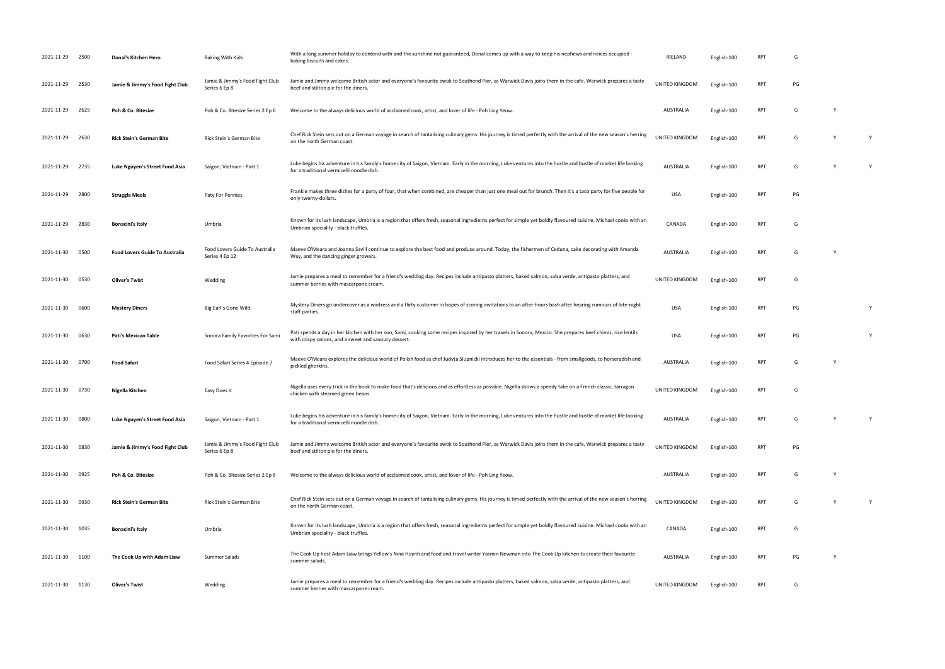| 2021-11-29 2500 |      | Donal's Kitchen Hero                  | Baking With Kids                                 | With a long summer holiday to contend with and the sunshine not guaranteed, Donal comes up with a way to keep his nephews and neices occupied -<br>baking biscuits and cakes.                                       | <b>IRELAND</b>        | English-100 | RP <sub>1</sub> | G  |          |   |
|-----------------|------|---------------------------------------|--------------------------------------------------|---------------------------------------------------------------------------------------------------------------------------------------------------------------------------------------------------------------------|-----------------------|-------------|-----------------|----|----------|---|
| 2021-11-29 2530 |      | Jamie & Jimmy's Food Fight Club       | Jamie & Jimmy's Food Fight Club<br>Series 6 Ep 8 | Jamie and Jimmy welcome British actor and everyone's favourite ewok to Southend Pier, as Warwick Davis joins them in the cafe. Warwick prepares a tasty<br>beef and stilton pie for the diners.                     | UNITED KINGDOM        | English-100 | <b>RPT</b>      | PG |          |   |
| 2021-11-29      | 2625 | Poh & Co. Bitesize                    | Poh & Co. Bitesize Series 2 Ep 6                 | Welcome to the always delicious world of acclaimed cook, artist, and lover of life - Poh Ling Yeow.                                                                                                                 | AUSTRALIA             | English-100 | <b>RPT</b>      | G  | Y        |   |
| 2021-11-29      | 2630 | <b>Rick Stein's German Bite</b>       | Rick Stein's German Bite                         | Chef Rick Stein sets out on a German voyage in search of tantalising culinary gems. His journey is timed perfectly with the arrival of the new season's herring<br>on the north German coast.                       | <b>UNITED KINGDOM</b> | English-100 | <b>RPT</b>      | G  | <b>V</b> | Y |
| 2021-11-29      | 2735 | Luke Nguyen's Street Food Asia        | Saigon, Vietnam - Part 1                         | Luke begins his adventure in his family's home city of Saigon, Vietnam. Early in the morning, Luke ventures into the hustle and bustle of market life looking<br>for a traditional vermicelli noodle dish.          | <b>AUSTRALIA</b>      | English-100 | <b>RPT</b>      | G  | Y        | Y |
| 2021-11-29      | 2800 | <b>Struggle Meals</b>                 | Paty For Pennies                                 | Frankie makes three dishes for a party of four, that when combined, are cheaper than just one meal out for brunch. Then it's a taco party for five people for<br>only twenty-dollars.                               | USA                   | English-100 | RPT             | PG |          |   |
| 2021-11-29      | 2830 | <b>Bonacini's Italy</b>               | Umbria                                           | Known for its lush landscape, Umbria is a region that offers fresh, seasonal ingredients perfect for simple yet boldly flavoured cuisine. Michael cooks with an<br>Umbrian speciality - black truffles.             | CANADA                | English-100 | <b>RPT</b>      | G  |          |   |
| 2021-11-30      | 0500 | <b>Food Lovers Guide To Australia</b> | Food Lovers Guide To Australia<br>Series 4 Ep 12 | Maeve O'Meara and Joanna Savill continue to explore the best food and produce around. Today, the fishermen of Ceduna, cake decorating with Amanda<br>Way, and the dancing ginger growers.                           | <b>AUSTRALIA</b>      | English-100 | <b>RPT</b>      | G  | Y        |   |
| 2021-11-30      | 0530 | <b>Oliver's Twist</b>                 | Wedding                                          | Jamie prepares a meal to remember for a friend's wedding day. Recipes include antipasto platters, baked salmon, salsa verde, antipasto platters, and<br>summer berries with mascarpone cream.                       | UNITED KINGDOM        | English-100 | <b>RPT</b>      | G  |          |   |
| 2021-11-30      | 0600 | <b>Mystery Diners</b>                 | Big Earl's Gone Wild                             | Mystery Diners go undercover as a waitress and a flirty customer in hopes of scoring invitations to an after-hours bash after hearing rumours of late-night<br>staff parties.                                       | <b>USA</b>            | English-100 | <b>RPT</b>      | PG |          | Y |
| 2021-11-30      | 0630 | <b>Pati's Mexican Table</b>           | Sonora Family Favorites For Sami                 | Pati spends a day in her kitchen with her son, Sami, cooking some recipes inspired by her travels in Sonora, Mexico. She prepares beef chimis, rice lentils<br>with crispy onions, and a sweet and savoury dessert. | <b>USA</b>            | English-100 | <b>RPT</b>      | PG |          | Y |
| 2021-11-30      | 0700 | <b>Food Safari</b>                    | Food Safari Series 4 Episode 7                   | Maeve O'Meara explores the delicious world of Polish food as chef Judyta Slupnicki introduces her to the essentials - from smallgoods, to horseradish and<br>pickled gherkins.                                      | <b>AUSTRALIA</b>      | English-100 | <b>RPT</b>      | G  |          |   |
| 2021-11-30 0730 |      | Nigella Kitchen                       | Easy Does It                                     | Nigella uses every trick in the book to make food that's delicious and as effortless as possible. Nigella shows a speedy take on a French classic, tarragon<br>chicken with steamed green beans.                    | UNITED KINGDOM        | English-100 | <b>RPT</b>      | G  |          |   |
| 2021-11-30      | 0800 | Luke Nguyen's Street Food Asia        | Saigon, Vietnam - Part 1                         | Luke begins his adventure in his family's home city of Saigon, Vietnam. Early in the morning, Luke ventures into the hustle and bustle of market life looking<br>for a traditional vermicelli noodle dish           | AUSTRALIA             | English-100 | <b>RPT</b>      | G  | Y        | Y |
| 2021-11-30      | 0830 | Jamie & Jimmy's Food Fight Club       | Jamie & Jimmy's Food Fight Club<br>Series 6 Ep 8 | Jamie and Jimmy welcome British actor and everyone's favourite ewok to Southend Pier, as Warwick Davis joins them in the cafe. Warwick prepares a tasty<br>beef and stilton pie for the diners.                     | UNITED KINGDOM        | English-100 | RPT             | PG |          |   |
| 2021-11-30 0925 |      | Poh & Co. Bitesize                    | Poh & Co. Bitesize Series 2 Ep 6                 | Welcome to the always delicious world of acclaimed cook, artist, and lover of life - Poh Ling Yeow.                                                                                                                 | AUSTRALIA             | English-100 | <b>RPT</b>      | G  | Y        |   |
| 2021-11-30      | 0930 | <b>Rick Stein's German Bite</b>       | Rick Stein's German Bite                         | Chef Rick Stein sets out on a German voyage in search of tantalising culinary gems. His journey is timed perfectly with the arrival of the new season's herring<br>on the north German coast.                       | UNITED KINGDOM        | English-100 | <b>RPT</b>      | G  | <b>V</b> | Y |
| 2021-11-30 1035 |      | <b>Bonacini's Italy</b>               | Umbria                                           | Known for its lush landscape, Umbria is a region that offers fresh, seasonal ingredients perfect for simple yet boldly flavoured cuisine. Michael cooks with an<br>Umbrian speciality - black truffles.             | CANADA                | English-100 | <b>RPT</b>      | G  |          |   |
| 2021-11-30 1100 |      | The Cook Up with Adam Liaw            | Summer Salads                                    | The Cook Up host Adam Liaw brings Yellow's Nina Huynh and food and travel writer Yasmin Newman into The Cook Up kitchen to create their favourite<br>summer salads.                                                 | AUSTRALIA             | English-100 | RPT             | PG | Y        |   |
| 2021-11-30 1130 |      | <b>Oliver's Twist</b>                 | Wedding                                          | Jamie prepares a meal to remember for a friend's wedding day. Recipes include antipasto platters, baked salmon, salsa verde, antipasto platters, and<br>summer berries with mascarpone cream.                       | UNITED KINGDOM        | English-100 | <b>RPT</b>      | G  |          |   |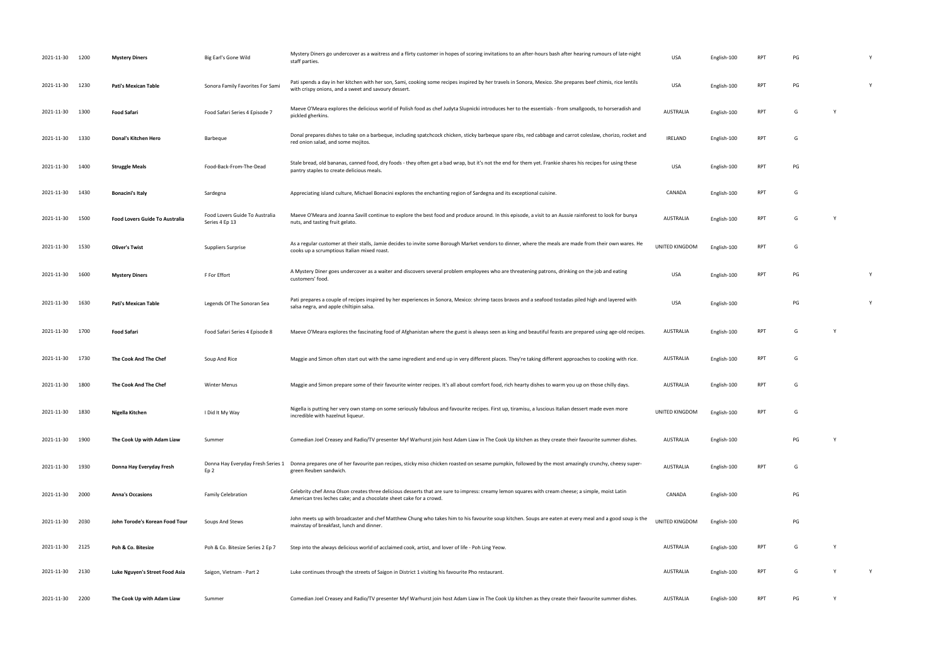| 2021-11-30      | 1200 | <b>Mystery Diners</b>                 | Big Earl's Gone Wild                             | Mystery Diners go undercover as a waitress and a flirty customer in hopes of scoring invitations to an after-hours bash after hearing rumours of late-night<br>staff parties.                                            | <b>USA</b>            | English-100 | RP <sub>1</sub> | PG |   |
|-----------------|------|---------------------------------------|--------------------------------------------------|--------------------------------------------------------------------------------------------------------------------------------------------------------------------------------------------------------------------------|-----------------------|-------------|-----------------|----|---|
| 2021-11-30      | 1230 | <b>Pati's Mexican Table</b>           | Sonora Family Favorites For Sami                 | Pati spends a day in her kitchen with her son, Sami, cooking some recipes inspired by her travels in Sonora, Mexico. She prepares beef chimis, rice lentils<br>with crispy onions, and a sweet and savoury dessert.      | <b>USA</b>            | English-100 | <b>RPT</b>      | PG | Y |
| 2021-11-30      | 1300 | <b>Food Safari</b>                    | Food Safari Series 4 Episode 7                   | Maeve O'Meara explores the delicious world of Polish food as chef Judyta Slupnicki introduces her to the essentials - from smallgoods, to horseradish and<br>pickled gherkins.                                           | <b>AUSTRALIA</b>      | English-100 | RPT             | G  |   |
| 2021-11-30      | 1330 | Donal's Kitchen Hero                  | Barbeque                                         | Donal prepares dishes to take on a barbeque, including spatchcock chicken, sticky barbeque spare ribs, red cabbage and carrot coleslaw, chorizo, rocket and<br>red onion salad, and some mojitos.                        | <b>IRELAND</b>        | English-100 | <b>RPT</b>      | G  |   |
| 2021-11-30      | 1400 | <b>Struggle Meals</b>                 | Food-Back-From-The-Dead                          | Stale bread, old bananas, canned food, dry foods - they often get a bad wrap, but it's not the end for them yet. Frankie shares his recipes for using these<br>pantry staples to create delicious meals.                 | <b>USA</b>            | English-100 | <b>RPT</b>      | PG |   |
| 2021-11-30      | 1430 | <b>Bonacini's Italy</b>               | Sardegna                                         | Appreciating island culture, Michael Bonacini explores the enchanting region of Sardegna and its exceptional cuisine.                                                                                                    | CANADA                | English-100 | RPT             | G  |   |
| 2021-11-30      | 1500 | <b>Food Lovers Guide To Australia</b> | Food Lovers Guide To Australia<br>Series 4 Ep 13 | Maeve O'Meara and Joanna Savill continue to explore the best food and produce around. In this episode, a visit to an Aussie rainforest to look for bunya<br>nuts, and tasting fruit gelato.                              | <b>AUSTRALIA</b>      | English-100 | RPT             | G  |   |
| 2021-11-30 1530 |      | <b>Oliver's Twist</b>                 | Suppliers Surprise                               | As a regular customer at their stalls, Jamie decides to invite some Borough Market vendors to dinner, where the meals are made from their own wares. He<br>cooks up a scrumptious Italian mixed roast.                   | <b>UNITED KINGDOM</b> | English-100 | RPT             | G  |   |
| 2021-11-30      | 1600 | <b>Mystery Diners</b>                 | F For Effort                                     | A Mystery Diner goes undercover as a waiter and discovers several problem employees who are threatening patrons, drinking on the job and eating<br>customers' food.                                                      | USA                   | English-100 | RPT             | PG | Y |
| 2021-11-30      | 1630 | Pati's Mexican Table                  | Legends Of The Sonoran Sea                       | Pati prepares a couple of recipes inspired by her experiences in Sonora, Mexico: shrimp tacos bravos and a seafood tostadas piled high and layered with<br>salsa negra, and apple chiltipin salsa.                       | <b>USA</b>            | English-100 |                 | PG | Y |
| 2021-11-30      | 1700 | <b>Food Safari</b>                    | Food Safari Series 4 Episode 8                   | Maeve O'Meara explores the fascinating food of Afghanistan where the guest is always seen as king and beautiful feasts are prepared using age-old recipes.                                                               | AUSTRALIA             | English-100 | RPT             | G  |   |
| 2021-11-30      | 1730 | The Cook And The Chef                 | Soup And Rice                                    | Maggie and Simon often start out with the same ingredient and end up in very different places. They're taking different approaches to cooking with rice.                                                                 | AUSTRALIA             | English-100 | RPT             | G  |   |
| 2021-11-30      | 1800 | The Cook And The Chef                 | <b>Winter Menus</b>                              | Maggie and Simon prepare some of their favourite winter recipes. It's all about comfort food, rich hearty dishes to warm you up on those chilly days.                                                                    | AUSTRALIA             | English-100 | RPT             | G  |   |
| 2021-11-30      | 1830 | Nigella Kitchen                       | I Did It My Way                                  | Nigella is putting her very own stamp on some seriously fabulous and favourite recipes. First up, tiramisu, a luscious Italian dessert made even more<br>incredible with hazelnut liqueur.                               | UNITED KINGDOM        | English-100 | <b>RPT</b>      | G  |   |
| 2021-11-30      | 1900 | The Cook Up with Adam Liaw            | Summer                                           | Comedian Joel Creasey and Radio/TV presenter Myf Warhurst join host Adam Liaw in The Cook Up kitchen as they create their favourite summer dishes.                                                                       | <b>AUSTRALIA</b>      | English-100 |                 | PG |   |
| 2021-11-30      | 1930 | Donna Hay Everyday Fresh              | Donna Hay Everyday Fresh Series 1<br>Ep 2        | Donna prepares one of her favourite pan recipes, sticky miso chicken roasted on sesame pumpkin, followed by the most amazingly crunchy, cheesy super-<br>green Reuben sandwich.                                          | AUSTRALIA             | English-100 | RPT             | G  |   |
| 2021-11-30      | 2000 | <b>Anna's Occasions</b>               | <b>Family Celebration</b>                        | Celebrity chef Anna Olson creates three delicious desserts that are sure to impress: creamy lemon squares with cream cheese; a simple, moist Latin<br>American tres leches cake; and a chocolate sheet cake for a crowd. | CANADA                | English-100 |                 | PG |   |
| 2021-11-30 2030 |      | John Torode's Korean Food Tour        | Soups And Stews                                  | John meets up with broadcaster and chef Matthew Chung who takes him to his favourite soup kitchen. Soups are eaten at every meal and a good soup is the<br>mainstay of breakfast, lunch and dinner.                      | UNITED KINGDOM        | English-100 |                 | PG |   |
| 2021-11-30 2125 |      | Poh & Co. Bitesize                    | Poh & Co. Bitesize Series 2 Ep 7                 | Step into the always delicious world of acclaimed cook, artist, and lover of life - Poh Ling Yeow.                                                                                                                       | AUSTRALIA             | English-100 | RPT             | G  |   |
| 2021-11-30 2130 |      | Luke Nguyen's Street Food Asia        | Saigon, Vietnam - Part 2                         | Luke continues through the streets of Saigon in District 1 visiting his favourite Pho restaurant.                                                                                                                        | AUSTRALIA             | English-100 | RPT             | G  | Y |
| 2021-11-30      | 2200 | The Cook Up with Adam Liaw            | Summer                                           | Comedian Joel Creasey and Radio/TV presenter Myf Warhurst join host Adam Liaw in The Cook Up kitchen as they create their favourite summer dishes.                                                                       | AUSTRALIA             | English-100 | RPT             | PG |   |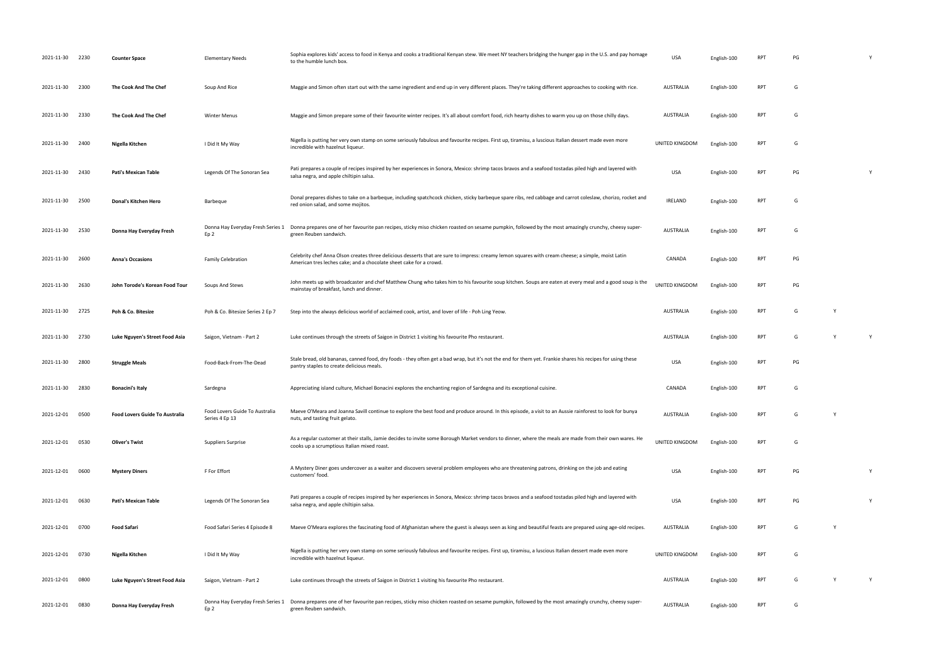| 2021-11-30 2230 |      | <b>Counter Space</b>                  | <b>Elementary Needs</b>                          | Sophia explores kids' access to food in Kenya and cooks a traditional Kenyan stew. We meet NY teachers bridging the hunger gap in the U.S. and pay homage<br>to the humble lunch box.                                    | <b>USA</b>       | English-100 | <b>RP</b>       | PG |              |   |
|-----------------|------|---------------------------------------|--------------------------------------------------|--------------------------------------------------------------------------------------------------------------------------------------------------------------------------------------------------------------------------|------------------|-------------|-----------------|----|--------------|---|
| 2021-11-30      | 2300 | The Cook And The Chef                 | Soup And Rice                                    | Maggie and Simon often start out with the same ingredient and end up in very different places. They're taking different approaches to cooking with rice.                                                                 | AUSTRALIA        | English-100 | <b>RPT</b>      | G  |              |   |
| 2021-11-30      | 2330 | The Cook And The Chef                 | <b>Winter Menus</b>                              | Maggie and Simon prepare some of their favourite winter recipes. It's all about comfort food, rich hearty dishes to warm you up on those chilly days.                                                                    | <b>AUSTRALIA</b> | English-100 | <b>RPT</b>      | G  |              |   |
| 2021-11-30      | 2400 | Nigella Kitchen                       | I Did It My Way                                  | Nigella is putting her very own stamp on some seriously fabulous and favourite recipes. First up, tiramisu, a luscious Italian dessert made even more<br>incredible with hazelnut liqueur.                               | UNITED KINGDOM   | English-100 | <b>RPT</b>      | G  |              |   |
| 2021-11-30      | 2430 | Pati's Mexican Table                  | Legends Of The Sonoran Sea                       | Pati prepares a couple of recipes inspired by her experiences in Sonora, Mexico: shrimp tacos bravos and a seafood tostadas piled high and layered with<br>salsa negra, and apple chiltipin salsa.                       | <b>USA</b>       | English-100 | <b>RPT</b>      | PG |              | Y |
| 2021-11-30      | 2500 | Donal's Kitchen Hero                  | Barbeque                                         | Donal prepares dishes to take on a barbeque, including spatchcock chicken, sticky barbeque spare ribs, red cabbage and carrot coleslaw, chorizo, rocket and<br>red onion salad, and some mojitos.                        | <b>IRELAND</b>   | English-100 | <b>RPT</b>      | G  |              |   |
| 2021-11-30      | 2530 | Donna Hay Everyday Fresh              | Donna Hay Everyday Fresh Series 1<br>Ep 2        | Donna prepares one of her favourite pan recipes, sticky miso chicken roasted on sesame pumpkin, followed by the most amazingly crunchy, cheesy super-<br>green Reuben sandwich.                                          | AUSTRALIA        | English-100 | <b>RPT</b>      | G  |              |   |
| 2021-11-30      | 2600 | <b>Anna's Occasions</b>               | <b>Family Celebration</b>                        | Celebrity chef Anna Olson creates three delicious desserts that are sure to impress: creamy lemon squares with cream cheese; a simple, moist Latin<br>American tres leches cake; and a chocolate sheet cake for a crowd. | CANADA           | English-100 | <b>RPT</b>      | PG |              |   |
| 2021-11-30      | 2630 | John Torode's Korean Food Tour        | Soups And Stews                                  | John meets up with broadcaster and chef Matthew Chung who takes him to his favourite soup kitchen. Soups are eaten at every meal and a good soup is the<br>mainstay of breakfast, lunch and dinner.                      | UNITED KINGDOM   | English-100 | <b>RPT</b>      | PG |              |   |
| 2021-11-30      | 2725 | Poh & Co. Bitesize                    | Poh & Co. Bitesize Series 2 Ep 7                 | Step into the always delicious world of acclaimed cook, artist, and lover of life - Poh Ling Yeow.                                                                                                                       | AUSTRALIA        | English-100 | <b>RPT</b>      | G  | $\mathsf{v}$ |   |
| 2021-11-30      | 2730 | Luke Nguyen's Street Food Asia        | Saigon, Vietnam - Part 2                         | Luke continues through the streets of Saigon in District 1 visiting his favourite Pho restaurant.                                                                                                                        | <b>AUSTRALIA</b> | English-100 | <b>RPT</b>      | G  | Y            | Y |
| 2021-11-30      | 2800 | <b>Struggle Meals</b>                 | Food-Back-From-The-Dead                          | Stale bread, old bananas, canned food, dry foods - they often get a bad wrap, but it's not the end for them yet. Frankie shares his recipes for using these<br>pantry staples to create delicious meals.                 | <b>USA</b>       | English-100 | <b>RPT</b>      | PG |              |   |
| 2021-11-30      | 2830 | <b>Bonacini's Italy</b>               | Sardegna                                         | Appreciating island culture, Michael Bonacini explores the enchanting region of Sardegna and its exceptional cuisine.                                                                                                    | CANADA           | English-100 | <b>RPT</b>      | G  |              |   |
| 2021-12-01      | 0500 | <b>Food Lovers Guide To Australia</b> | Food Lovers Guide To Australia<br>Series 4 Ep 13 | Maeve O'Meara and Joanna Savill continue to explore the best food and produce around. In this episode, a visit to an Aussie rainforest to look for bunya<br>nuts, and tasting fruit gelato.                              | <b>AUSTRALIA</b> | English-100 | RP <sub>1</sub> | G  |              |   |
| 2021-12-01      | 0530 | <b>Oliver's Twist</b>                 | Suppliers Surprise                               | As a regular customer at their stalls, Jamie decides to invite some Borough Market vendors to dinner, where the meals are made from their own wares. He<br>cooks up a scrumptious Italian mixed roast.                   | UNITED KINGDOM   | English-100 | <b>RPT</b>      | G  |              |   |
| 2021-12-01      | 0600 | <b>Mystery Diners</b>                 | F For Effort                                     | A Mystery Diner goes undercover as a waiter and discovers several problem employees who are threatening patrons, drinking on the job and eating<br>customers' food.                                                      | <b>USA</b>       | English-100 | <b>RPT</b>      | PG |              | Y |
| 2021-12-01 0630 |      | <b>Pati's Mexican Table</b>           | Legends Of The Sonoran Sea                       | Pati prepares a couple of recipes inspired by her experiences in Sonora, Mexico: shrimp tacos bravos and a seafood tostadas piled high and layered with<br>salsa negra, and apple chiltipin salsa.                       | <b>USA</b>       | English-100 | <b>RPT</b>      | PG |              | Y |
| 2021-12-01      | 0700 | <b>Food Safari</b>                    | Food Safari Series 4 Episode 8                   | Maeve O'Meara explores the fascinating food of Afghanistan where the guest is always seen as king and beautiful feasts are prepared using age-old recipes.                                                               | AUSTRALIA        | English-100 | <b>RPT</b>      | G  | Y            |   |
| 2021-12-01      | 0730 | Nigella Kitchen                       | I Did It My Way                                  | Nigella is putting her very own stamp on some seriously fabulous and favourite recipes. First up, tiramisu, a luscious Italian dessert made even more<br>incredible with hazelnut liqueur.                               | UNITED KINGDOM   | English-100 | <b>RPT</b>      | G  |              |   |
| 2021-12-01      | 0800 | Luke Nguyen's Street Food Asia        | Saigon, Vietnam - Part 2                         | Luke continues through the streets of Saigon in District 1 visiting his favourite Pho restaurant.                                                                                                                        | <b>AUSTRALIA</b> | English-100 | <b>RPT</b>      | G  | Y            | Y |
| 2021-12-01      | 0830 | Donna Hay Everyday Fresh              | Donna Hay Everyday Fresh Series 1<br>Ep 2        | Donna prepares one of her favourite pan recipes, sticky miso chicken roasted on sesame pumpkin, followed by the most amazingly crunchy, cheesy super-<br>green Reuben sandwich.                                          | <b>AUSTRALIA</b> | English-100 | <b>RPT</b>      | G  |              |   |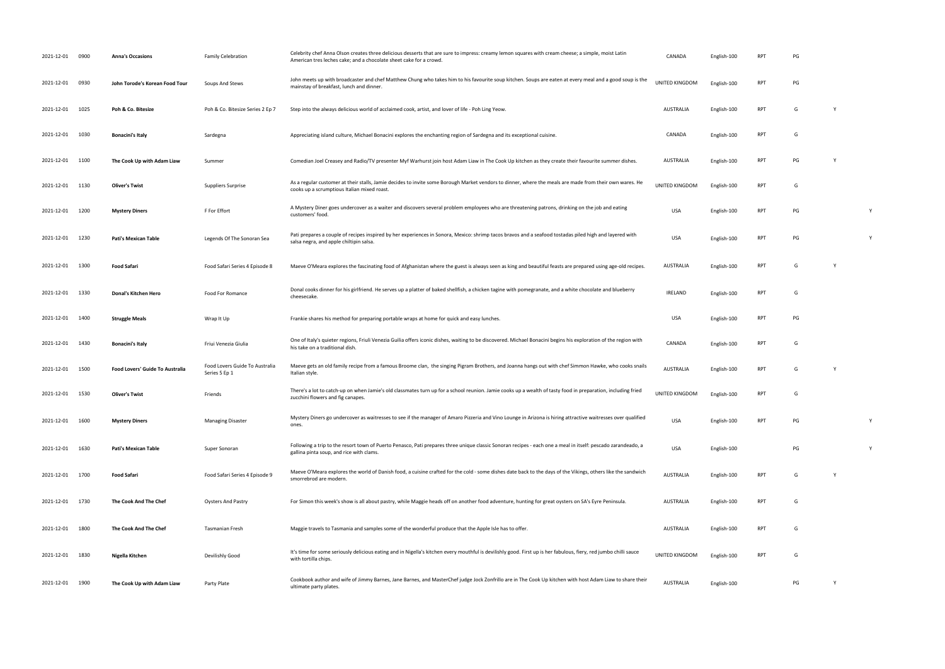| 2021-12-01      | 0900 | <b>Anna's Occasions</b>                | <b>Family Celebration</b>                       | Celebrity chef Anna Olson creates three delicious desserts that are sure to impress: creamy lemon squares with cream cheese; a simple, moist Latin<br>American tres leches cake; and a chocolate sheet cake for a crowd. | CANADA           | English-100 | <b>RPT</b> | PG |              |   |
|-----------------|------|----------------------------------------|-------------------------------------------------|--------------------------------------------------------------------------------------------------------------------------------------------------------------------------------------------------------------------------|------------------|-------------|------------|----|--------------|---|
| 2021-12-01      | 0930 | John Torode's Korean Food Tour         | Soups And Stews                                 | John meets up with broadcaster and chef Matthew Chung who takes him to his favourite soup kitchen. Soups are eaten at every meal and a good soup is the<br>mainstay of breakfast, lunch and dinner.                      | UNITED KINGDOM   | English-100 | <b>RPT</b> | PG |              |   |
| 2021-12-01      | 1025 | Poh & Co. Bitesize                     | Poh & Co. Bitesize Series 2 Ep 7                | Step into the always delicious world of acclaimed cook, artist, and lover of life - Poh Ling Yeow.                                                                                                                       | <b>AUSTRALIA</b> | English-100 | <b>RPT</b> | G  | <sup>V</sup> |   |
| 2021-12-01      | 1030 | <b>Bonacini's Italy</b>                | Sardegna                                        | Appreciating island culture, Michael Bonacini explores the enchanting region of Sardegna and its exceptional cuisine.                                                                                                    | CANADA           | English-100 | <b>RPT</b> | G  |              |   |
| 2021-12-01 1100 |      | The Cook Up with Adam Liaw             | Summer                                          | Comedian Joel Creasey and Radio/TV presenter Myf Warhurst join host Adam Liaw in The Cook Up kitchen as they create their favourite summer dishes.                                                                       | AUSTRALIA        | English-100 | <b>RPT</b> | PG | <b>Y</b>     |   |
| 2021-12-01 1130 |      | <b>Oliver's Twist</b>                  | Suppliers Surprise                              | As a regular customer at their stalls, Jamie decides to invite some Borough Market vendors to dinner, where the meals are made from their own wares. He<br>cooks up a scrumptious Italian mixed roast.                   | UNITED KINGDOM   | English-100 | <b>RPT</b> | G  |              |   |
| 2021-12-01 1200 |      | <b>Mystery Diners</b>                  | F For Effort                                    | A Mystery Diner goes undercover as a waiter and discovers several problem employees who are threatening patrons, drinking on the job and eating<br>customers' food.                                                      | <b>USA</b>       | English-100 | <b>RPT</b> | PG |              | Y |
| 2021-12-01 1230 |      | Pati's Mexican Table                   | Legends Of The Sonoran Sea                      | Pati prepares a couple of recipes inspired by her experiences in Sonora, Mexico: shrimp tacos bravos and a seafood tostadas piled high and layered with<br>salsa negra, and apple chiltipin salsa.                       | <b>USA</b>       | English-100 | <b>RPT</b> | PG |              | Y |
| 2021-12-01 1300 |      | <b>Food Safari</b>                     | Food Safari Series 4 Episode 8                  | Maeve O'Meara explores the fascinating food of Afghanistan where the guest is always seen as king and beautiful feasts are prepared using age-old recipes.                                                               | <b>AUSTRALIA</b> | English-100 | <b>RPT</b> | G  | Y            |   |
| 2021-12-01 1330 |      | Donal's Kitchen Hero                   | Food For Romance                                | Donal cooks dinner for his girlfriend. He serves up a platter of baked shellfish, a chicken tagine with pomegranate, and a white chocolate and blueberry<br>cheesecake.                                                  | <b>IRELAND</b>   | English-100 | <b>RPT</b> | G  |              |   |
| 2021-12-01 1400 |      | <b>Struggle Meals</b>                  | Wrap It Up                                      | Frankie shares his method for preparing portable wraps at home for quick and easy lunches.                                                                                                                               | <b>USA</b>       | English-100 | <b>RPT</b> | PG |              |   |
| 2021-12-01      | 1430 | <b>Bonacini's Italy</b>                | Friui Venezia Giulia                            | One of Italy's quieter regions, Friuli Venezia Guilia offers iconic dishes, waiting to be discovered. Michael Bonacini begins his exploration of the region with<br>his take on a traditional dish.                      | CANADA           | English-100 | <b>RPT</b> | G  |              |   |
| 2021-12-01 1500 |      | <b>Food Lovers' Guide To Australia</b> | Food Lovers Guide To Australia<br>Series 5 Ep 1 | Maeve gets an old family recipe from a famous Broome clan, the singing Pigram Brothers, and Joanna hangs out with chef Simmon Hawke, who cooks snails<br>Italian style.                                                  | <b>AUSTRALIA</b> | English-100 | <b>RPT</b> | G  | <sup>V</sup> |   |
| 2021-12-01 1530 |      | <b>Oliver's Twist</b>                  | Friends                                         | There's a lot to catch-up on when Jamie's old classmates turn up for a school reunion. Jamie cooks up a wealth of tasty food in preparation, including fried<br>zucchini flowers and fig canapes.                        | UNITED KINGDOM   | English-100 | <b>RPT</b> | G  |              |   |
| 2021-12-01      | 1600 | <b>Mystery Diners</b>                  | <b>Managing Disaster</b>                        | Mystery Diners go undercover as waitresses to see if the manager of Amaro Pizzeria and Vino Lounge in Arizona is hiring attractive waitresses over qualified<br>ones.                                                    | <b>USA</b>       | English-100 | <b>RPT</b> | PG |              |   |
| 2021-12-01      | 1630 | <b>Pati's Mexican Table</b>            | Super Sonoran                                   | Following a trip to the resort town of Puerto Penasco, Pati prepares three unique classic Sonoran recipes - each one a meal in itself: pescado zarandeado, a<br>gallina pinta soup, and rice with clams.                 | <b>USA</b>       | English-100 |            | PG |              | Y |
| 2021-12-01 1700 |      | <b>Food Safari</b>                     | Food Safari Series 4 Episode 9                  | Maeve O'Meara explores the world of Danish food, a cuisine crafted for the cold - some dishes date back to the days of the Vikings, others like the sandwich<br>smorrebrod are modern                                    | <b>AUSTRALIA</b> | English-100 | RPT        | G  | <b>Y</b>     |   |
| 2021-12-01 1730 |      | <b>The Cook And The Chef</b>           | <b>Oysters And Pastry</b>                       | For Simon this week's show is all about pastry, while Maggie heads off on another food adventure, hunting for great oysters on SA's Eyre Peninsula.                                                                      | <b>AUSTRALIA</b> | English-100 | <b>RPT</b> | G  |              |   |
| 2021-12-01 1800 |      | The Cook And The Chef                  | Tasmanian Fresh                                 | Maggie travels to Tasmania and samples some of the wonderful produce that the Apple Isle has to offer.                                                                                                                   | <b>AUSTRALIA</b> | English-100 | <b>RPT</b> | G  |              |   |
| 2021-12-01      | 1830 | Nigella Kitchen                        | Devilishly Good                                 | It's time for some seriously delicious eating and in Nigella's kitchen every mouthful is devilishly good. First up is her fabulous, fiery, red jumbo chilli sauce<br>with tortilla chips.                                | UNITED KINGDOM   | English-100 | <b>RPT</b> | G  |              |   |
| 2021-12-01      | 1900 | The Cook Up with Adam Liaw             | Party Plate                                     | Cookbook author and wife of Jimmy Barnes, Jane Barnes, and MasterChef judge Jock Zonfrillo are in The Cook Up kitchen with host Adam Liaw to share their<br>ultimate party plates.                                       | <b>AUSTRALIA</b> | English-100 |            | PG | Y            |   |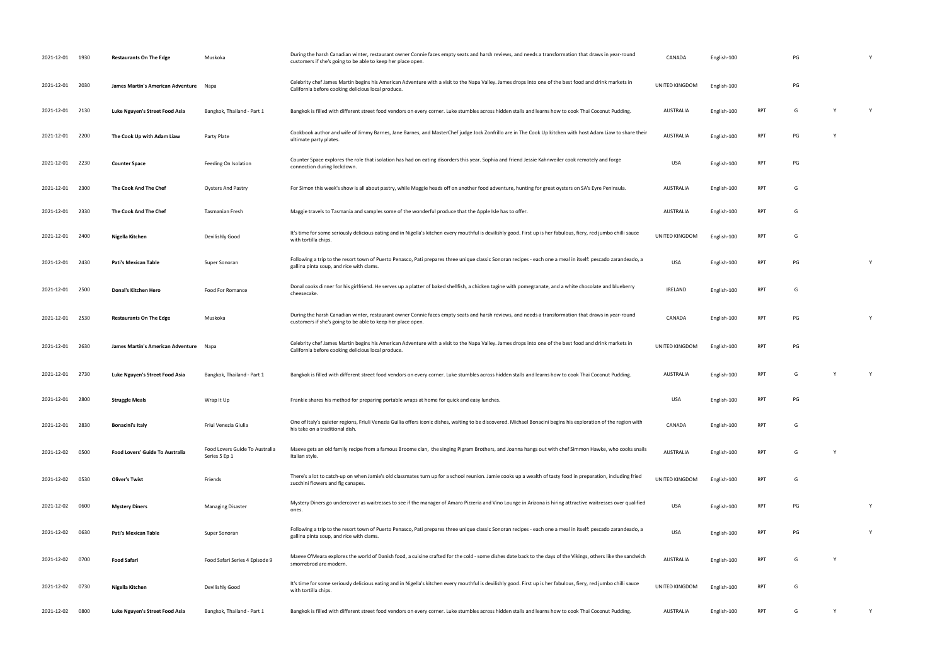| 2021-12-01 1930 |      | <b>Restaurants On The Edge</b>    | Muskoka                                         | During the harsh Canadian winter, restaurant owner Connie faces empty seats and harsh reviews, and needs a transformation that draws in year-round<br>customers if she's going to be able to keep her place open. | CANADA           | English-100 |            | PG |   |   |
|-----------------|------|-----------------------------------|-------------------------------------------------|-------------------------------------------------------------------------------------------------------------------------------------------------------------------------------------------------------------------|------------------|-------------|------------|----|---|---|
| 2021-12-01 2030 |      | James Martin's American Adventure | Napa                                            | Celebrity chef James Martin begins his American Adventure with a visit to the Napa Valley. James drops into one of the best food and drink markets in<br>California before cooking delicious local produce.       | UNITED KINGDOM   | English-100 |            | PG |   |   |
| 2021-12-01      | 2130 | Luke Nguyen's Street Food Asia    | Bangkok, Thailand - Part 1                      | Bangkok is filled with different street food vendors on every corner. Luke stumbles across hidden stalls and learns how to cook Thai Coconut Pudding.                                                             | AUSTRALIA        | English-100 | <b>RPT</b> | G  | Y | Y |
| 2021-12-01      | 2200 | The Cook Up with Adam Liaw        | Party Plate                                     | Cookbook author and wife of Jimmy Barnes, Jane Barnes, and MasterChef judge Jock Zonfrillo are in The Cook Up kitchen with host Adam Liaw to share their<br>ultimate party plates.                                | <b>AUSTRALIA</b> | English-100 | <b>RPT</b> | PG |   |   |
| 2021-12-01 2230 |      | <b>Counter Space</b>              | Feeding On Isolation                            | Counter Space explores the role that isolation has had on eating disorders this year. Sophia and friend Jessie Kahnweiler cook remotely and forge<br>connection during lockdown.                                  | <b>USA</b>       | English-100 | <b>RPT</b> | PG |   |   |
| 2021-12-01      | 2300 | The Cook And The Chef             | <b>Oysters And Pastry</b>                       | For Simon this week's show is all about pastry, while Maggie heads off on another food adventure, hunting for great oysters on SA's Eyre Peninsula.                                                               | AUSTRALIA        | English-100 | <b>RPT</b> | G  |   |   |
| 2021-12-01      | 2330 | The Cook And The Chef             | <b>Tasmanian Fresh</b>                          | Maggie travels to Tasmania and samples some of the wonderful produce that the Apple Isle has to offer.                                                                                                            | AUSTRALIA        | English-100 | RPT        | G  |   |   |
| 2021-12-01 2400 |      | Nigella Kitchen                   | Devilishly Good                                 | It's time for some seriously delicious eating and in Nigella's kitchen every mouthful is devilishly good. First up is her fabulous, fiery, red jumbo chilli sauce<br>with tortilla chips.                         | UNITED KINGDOM   | English-100 | <b>RPT</b> | G  |   |   |
| 2021-12-01 2430 |      | Pati's Mexican Table              | Super Sonoran                                   | Following a trip to the resort town of Puerto Penasco, Pati prepares three unique classic Sonoran recipes - each one a meal in itself: pescado zarandeado, a<br>gallina pinta soup, and rice with clams.          | <b>USA</b>       | English-100 | <b>RPT</b> | PG |   |   |
| 2021-12-01      | 2500 | Donal's Kitchen Hero              | Food For Romance                                | Donal cooks dinner for his girlfriend. He serves up a platter of baked shellfish, a chicken tagine with pomegranate, and a white chocolate and blueberry<br>cheesecake.                                           | <b>IRELAND</b>   | English-100 | <b>RPT</b> | G  |   |   |
| 2021-12-01      | 2530 | <b>Restaurants On The Edge</b>    | Muskoka                                         | During the harsh Canadian winter, restaurant owner Connie faces empty seats and harsh reviews, and needs a transformation that draws in year-round<br>customers if she's going to be able to keep her place open. | CANADA           | English-100 | <b>RPT</b> | PG |   |   |
| 2021-12-01 2630 |      | James Martin's American Adventure | Napa                                            | Celebrity chef James Martin begins his American Adventure with a visit to the Napa Valley. James drops into one of the best food and drink markets in<br>California before cooking delicious local produce.       | UNITED KINGDOM   | English-100 | <b>RPT</b> | PG |   |   |
| 2021-12-01 2730 |      | Luke Nguyen's Street Food Asia    | Bangkok, Thailand - Part 1                      | Bangkok is filled with different street food vendors on every corner. Luke stumbles across hidden stalls and learns how to cook Thai Coconut Pudding.                                                             | AUSTRALIA        | English-100 | <b>RPT</b> | G  | Y | Y |
| 2021-12-01 2800 |      |                                   |                                                 |                                                                                                                                                                                                                   |                  |             |            |    |   |   |
|                 |      | <b>Struggle Meals</b>             | Wrap It Up                                      | Frankie shares his method for preparing portable wraps at home for quick and easy lunches.                                                                                                                        | USA              | English-100 | RPT        | PG |   |   |
| 2021-12-01 2830 |      | <b>Bonacini's Italy</b>           | Friui Venezia Giulia                            | One of Italy's quieter regions, Friuli Venezia Guilia offers iconic dishes, waiting to be discovered. Michael Bonacini begins his exploration of the region with<br>his take on a traditional dish.               | CANADA           | English-100 | <b>RPT</b> | G  |   |   |
| 2021-12-02 0500 |      | Food Lovers' Guide To Australia   | Food Lovers Guide To Australia<br>Series 5 Ep 1 | Maeve gets an old family recipe from a famous Broome clan, the singing Pigram Brothers, and Joanna hangs out with chef Simmon Hawke, who cooks snails<br>Italian style.                                           | <b>AUSTRALIA</b> | English-100 | <b>RPT</b> | G  | Y |   |
| 2021-12-02 0530 |      | <b>Oliver's Twist</b>             | Friends                                         | There's a lot to catch-up on when Jamie's old classmates turn up for a school reunion. Jamie cooks up a wealth of tasty food in preparation, including fried<br>zucchini flowers and fig canapes.                 | UNITED KINGDOM   | English-100 | <b>RPT</b> | G  |   |   |
| 2021-12-02      | 0600 | <b>Mystery Diners</b>             | <b>Managing Disaster</b>                        | Mystery Diners go undercover as waitresses to see if the manager of Amaro Pizzeria and Vino Lounge in Arizona is hiring attractive waitresses over qualified<br>ones.                                             | <b>USA</b>       | English-100 | RPT        | PG |   |   |
| 2021-12-02      | 0630 | Pati's Mexican Table              | Super Sonoran                                   | Following a trip to the resort town of Puerto Penasco, Pati prepares three unique classic Sonoran recipes - each one a meal in itself: pescado zarandeado, a<br>gallina pinta soup, and rice with clams.          | <b>USA</b>       | English-100 | RPT        | PG |   |   |
| 2021-12-02      | 0700 | <b>Food Safari</b>                | Food Safari Series 4 Episode 9                  | Maeve O'Meara explores the world of Danish food, a cuisine crafted for the cold - some dishes date back to the days of the Vikings, others like the sandwich<br>smorrebrod are modern                             | AUSTRALIA        | English-100 | RPT        | G  |   |   |
| 2021-12-02 0730 |      | Nigella Kitchen                   | Devilishly Good                                 | It's time for some seriously delicious eating and in Nigella's kitchen every mouthful is devilishly good. First up is her fabulous, fiery, red jumbo chilli sauce<br>with tortilla chips.                         | UNITED KINGDOM   | English-100 | RPT        | G  |   |   |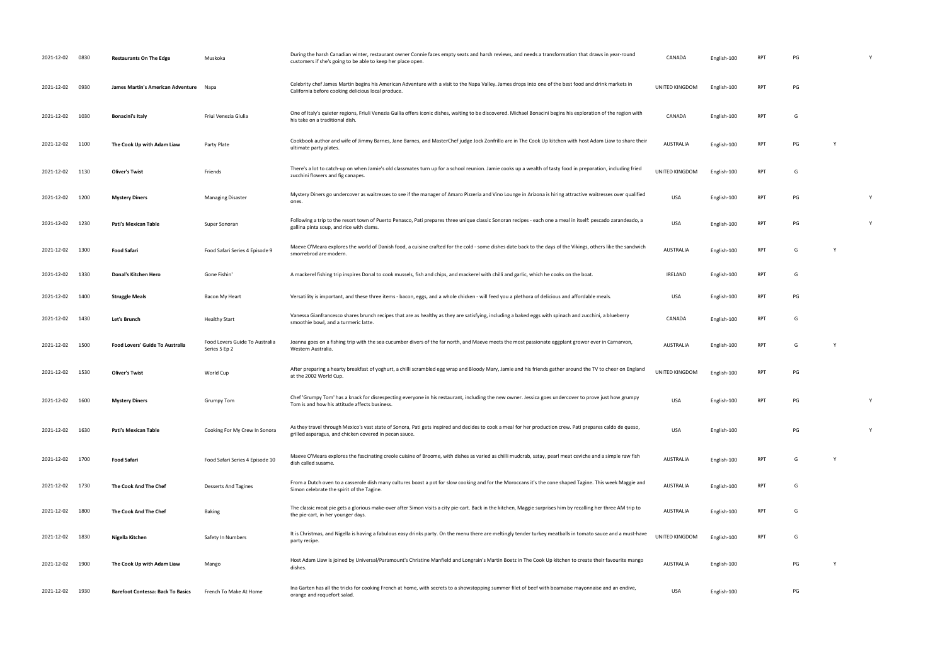| 2021-12-02 0830 |      | <b>Restaurants On The Edge</b>           | Muskoka                                         | During the harsh Canadian winter, restaurant owner Connie faces empty seats and harsh reviews, and needs a transformation that draws in year-round<br>customers if she's going to be able to keep her place open.    | CANADA           | English-100 | RPT        | PG |   |   |
|-----------------|------|------------------------------------------|-------------------------------------------------|----------------------------------------------------------------------------------------------------------------------------------------------------------------------------------------------------------------------|------------------|-------------|------------|----|---|---|
| 2021-12-02      | 0930 | James Martin's American Adventure        | Napa                                            | Celebrity chef James Martin begins his American Adventure with a visit to the Napa Valley. James drops into one of the best food and drink markets in<br>California before cooking delicious local produce.          | UNITED KINGDOM   | English-100 | RPT        | PG |   |   |
| 2021-12-02      | 1030 | <b>Bonacini's Italy</b>                  | Friui Venezia Giulia                            | One of Italy's quieter regions, Friuli Venezia Guilia offers iconic dishes, waiting to be discovered. Michael Bonacini begins his exploration of the region with<br>his take on a traditional dish.                  | CANADA           | English-100 | RPT        | G  |   |   |
| 2021-12-02 1100 |      | The Cook Up with Adam Liaw               | Party Plate                                     | Cookbook author and wife of Jimmy Barnes, Jane Barnes, and MasterChef judge Jock Zonfrillo are in The Cook Up kitchen with host Adam Liaw to share their<br>ultimate party plates.                                   | <b>AUSTRALIA</b> | English-100 | <b>RPT</b> | PG |   |   |
| 2021-12-02      | 1130 | <b>Oliver's Twist</b>                    | Friends                                         | There's a lot to catch-up on when Jamie's old classmates turn up for a school reunion. Jamie cooks up a wealth of tasty food in preparation, including fried<br>zucchini flowers and fig canapes.                    | UNITED KINGDOM   | English-100 | <b>RPT</b> | G  |   |   |
| 2021-12-02      | 1200 | <b>Mystery Diners</b>                    | <b>Managing Disaster</b>                        | Mystery Diners go undercover as waitresses to see if the manager of Amaro Pizzeria and Vino Lounge in Arizona is hiring attractive waitresses over qualified<br>ones.                                                | <b>USA</b>       | English-100 | <b>RPT</b> | PG |   | Y |
| 2021-12-02      | 1230 | <b>Pati's Mexican Table</b>              | Super Sonoran                                   | Following a trip to the resort town of Puerto Penasco, Pati prepares three unique classic Sonoran recipes - each one a meal in itself: pescado zarandeado, a<br>gallina pinta soup, and rice with clams.             | <b>USA</b>       | English-100 | <b>RPT</b> | PG |   | Y |
| 2021-12-02      | 1300 | Food Safari                              | Food Safari Series 4 Episode 9                  | Maeve O'Meara explores the world of Danish food, a cuisine crafted for the cold - some dishes date back to the days of the Vikings, others like the sandwich<br>smorrebrod are modern.                               | <b>AUSTRALIA</b> | English-100 | <b>RPT</b> | G  | Y |   |
| 2021-12-02      | 1330 | Donal's Kitchen Hero                     | Gone Fishin'                                    | A mackerel fishing trip inspires Donal to cook mussels, fish and chips, and mackerel with chilli and garlic, which he cooks on the boat.                                                                             | <b>IRELAND</b>   | English-100 | <b>RPT</b> | G  |   |   |
| 2021-12-02      | 1400 | <b>Struggle Meals</b>                    | Bacon My Heart                                  | Versatility is important, and these three items - bacon, eggs, and a whole chicken - will feed you a plethora of delicious and affordable meals.                                                                     | USA              | English-100 | <b>RPT</b> | PG |   |   |
| 2021-12-02      | 1430 | Let's Brunch                             | <b>Healthy Start</b>                            | Vanessa Gianfrancesco shares brunch recipes that are as healthy as they are satisfying, including a baked eggs with spinach and zucchini, a blueberry<br>smoothie bowl, and a turmeric latte.                        | CANADA           | English-100 | <b>RPT</b> | G  |   |   |
| 2021-12-02      | 1500 | Food Lovers' Guide To Australia          | Food Lovers Guide To Australia<br>Series 5 Ep 2 | Joanna goes on a fishing trip with the sea cucumber divers of the far north, and Maeve meets the most passionate eggplant grower ever in Carnarvon,<br>Western Australia.                                            | <b>AUSTRALIA</b> | English-100 | <b>RPT</b> | G  | Y |   |
| 2021-12-02      | 1530 | <b>Oliver's Twist</b>                    | World Cup                                       | After preparing a hearty breakfast of yoghurt, a chilli scrambled egg wrap and Bloody Mary, Jamie and his friends gather around the TV to cheer on England<br>at the 2002 World Cup.                                 | UNITED KINGDOM   | English-100 | <b>RPT</b> | PG |   |   |
| 2021-12-02      | 1600 | <b>Mystery Diners</b>                    | <b>Grumpy Tom</b>                               | Chef 'Grumpy Tom' has a knack for disrespecting everyone in his restaurant, including the new owner. Jessica goes undercover to prove just how grumpy<br>Tom is and how his attitude affects business.               | USA              | English-100 | <b>RPT</b> | PG |   | Y |
| 2021-12-02      | 1630 | Pati's Mexican Table                     | Cooking For My Crew In Sonora                   | As they travel through Mexico's vast state of Sonora, Pati gets inspired and decides to cook a meal for her production crew. Pati prepares caldo de queso,<br>grilled asparagus, and chicken covered in pecan sauce. | <b>USA</b>       | English-100 |            | PG |   | Y |
| 2021-12-02      | 1700 | Food Safari                              | Food Safari Series 4 Episode 10                 | Maeve O'Meara explores the fascinating creole cuisine of Broome, with dishes as varied as chilli mudcrab, satay, pearl meat ceviche and a simple raw fish<br>dish called susame.                                     | <b>AUSTRALIA</b> | English-100 | <b>RPT</b> | G  | Y |   |
| 2021-12-02      | 1730 | The Cook And The Chef                    | <b>Desserts And Tagines</b>                     | From a Dutch oven to a casserole dish many cultures boast a pot for slow cooking and for the Moroccans it's the cone shaped Tagine. This week Maggie and<br>Simon celebrate the spirit of the Tagine.                | <b>AUSTRALIA</b> | English-100 | <b>RPT</b> | G  |   |   |
| 2021-12-02      | 1800 | The Cook And The Chef                    | Baking                                          | The classic meat pie gets a glorious make-over after Simon visits a city pie-cart. Back in the kitchen, Maggie surprises him by recalling her three AM trip to<br>the pie-cart, in her younger days.                 | AUSTRALIA        | English-100 | RPT        | G  |   |   |
| 2021-12-02      | 1830 | Nigella Kitchen                          | Safety In Numbers                               | It is Christmas, and Nigella is having a fabulous easy drinks party. On the menu there are meltingly tender turkey meatballs in tomato sauce and a must-have<br>party recipe.                                        | UNITED KINGDOM   | English-100 | <b>RPT</b> | G  |   |   |
| 2021-12-02      | 1900 | The Cook Up with Adam Liaw               | Mango                                           | Host Adam Liaw is joined by Universal/Paramount's Christine Manfield and Longrain's Martin Boetz in The Cook Up kitchen to create their favourite mango<br>dishes.                                                   | <b>AUSTRALIA</b> | English-100 |            | PG | Y |   |
| 2021-12-02      | 1930 | <b>Barefoot Contessa: Back To Basics</b> | French To Make At Home                          | Ina Garten has all the tricks for cooking French at home, with secrets to a showstopping summer filet of beef with bearnaise mayonnaise and an endive,<br>orange and roquefort salad.                                | <b>USA</b>       | English-100 |            | PG |   |   |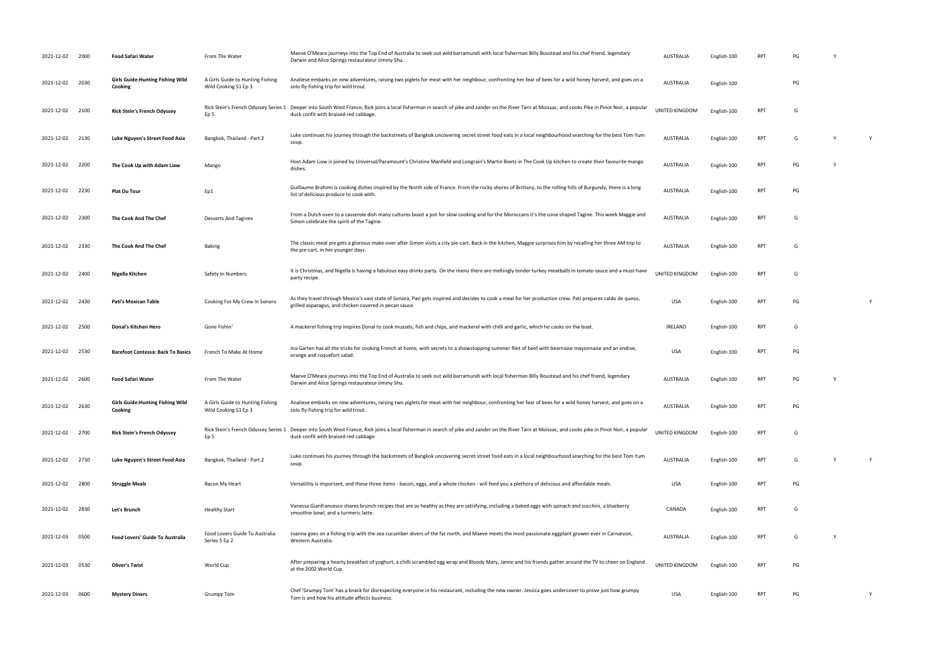| 2021-12-02      | 2000 | <b>Food Safari Water</b>                            | From The Water                                           | Maeve O'Meara journeys into the Top End of Australia to seek out wild barramundi with local fisherman Billy Boustead and his chef friend, legendary<br>Darwin and Alice Springs restaurateur Jimmy Shu.                                      | AUSTRALIA        | English-100 | RP         | PG |   |
|-----------------|------|-----------------------------------------------------|----------------------------------------------------------|----------------------------------------------------------------------------------------------------------------------------------------------------------------------------------------------------------------------------------------------|------------------|-------------|------------|----|---|
| 2021-12-02 2030 |      | <b>Girls Guide: Hunting Fishing Wild</b><br>Cooking | A Girls Guide to Hunting Fishing<br>Wild Cooking S1 Ep 3 | Analiese embarks on new adventures, raising two piglets for meat with her neighbour, confronting her fear of bees for a wild honey harvest, and goes on a<br>solo fly-fishing trip for wild trout.                                           | <b>AUSTRALIA</b> | English-100 |            | PG |   |
| 2021-12-02      | 2100 | <b>Rick Stein's French Odyssey</b>                  | Ep 5                                                     | Rick Stein's French Odyssey Series 1 Deeper into South West France, Rick joins a local fisherman in search of pike and zander on the River Tarn at Moissac, and cooks Pike in Pinot Noir, a popular<br>duck confit with braised red cabbage. | UNITED KINGDOM   | English-100 | <b>RPT</b> | G  |   |
| 2021-12-02      | 2130 | Luke Nguyen's Street Food Asia                      | Bangkok, Thailand - Part 2                               | Luke continues his journey through the backstreets of Bangkok uncovering secret street food eats in a local neighbourhood searching for the best Tom Yum<br>soup.                                                                            | <b>AUSTRALIA</b> | English-100 | <b>RPT</b> | G  | Y |
| 2021-12-02      | 2200 | The Cook Up with Adam Liaw                          | Mango                                                    | Host Adam Liaw is joined by Universal/Paramount's Christine Manfield and Longrain's Martin Boetz in The Cook Up kitchen to create their favourite mango<br>dishes.                                                                           | AUSTRALIA        | English-100 | <b>RPT</b> | PG |   |
| 2021-12-02      | 2230 | <b>Plat Du Tour</b>                                 | Ep1                                                      | Guillaume Brahimi is cooking dishes inspired by the North side of France. From the rocky shores of Brittany, to the rolling hills of Burgundy, there is a long<br>list of delicious produce to cook with.                                    | AUSTRALIA        | English-100 | RPT        | PG |   |
| 2021-12-02 2300 |      | The Cook And The Chef                               | <b>Desserts And Tagines</b>                              | From a Dutch oven to a casserole dish many cultures boast a pot for slow cooking and for the Moroccans it's the cone shaped Tagine. This week Maggie and<br>Simon celebrate the spirit of the Tagine.                                        | AUSTRALIA        | English-100 | RPT        | G  |   |
| 2021-12-02      | 2330 | The Cook And The Chef                               | Baking                                                   | The classic meat pie gets a glorious make-over after Simon visits a city pie-cart. Back in the kitchen, Maggie surprises him by recalling her three AM trip to<br>the pie-cart, in her younger days.                                         | <b>AUSTRALIA</b> | English-100 | <b>RPT</b> | G  |   |
| 2021-12-02 2400 |      | Nigella Kitchen                                     | Safety In Numbers                                        | It is Christmas, and Nigella is having a fabulous easy drinks party. On the menu there are meltingly tender turkey meatballs in tomato sauce and a must-have<br>party recipe.                                                                | UNITED KINGDOM   | English-100 | <b>RPT</b> | G  |   |
| 2021-12-02      | 2430 | Pati's Mexican Table                                | Cooking For My Crew In Sonora                            | As they travel through Mexico's vast state of Sonora, Pati gets inspired and decides to cook a meal for her production crew. Pati prepares caldo de queso,<br>grilled asparagus, and chicken covered in pecan sauce.                         | <b>USA</b>       | English-100 | RP1        | PG | Y |
| 2021-12-02      | 2500 | Donal's Kitchen Hero                                | Gone Fishin'                                             | A mackerel fishing trip inspires Donal to cook mussels, fish and chips, and mackerel with chilli and garlic, which he cooks on the boat.                                                                                                     | IRELAND          | English-100 | <b>RPT</b> | G  |   |
| 2021-12-02      | 2530 | <b>Barefoot Contessa: Back To Basics</b>            | French To Make At Home                                   | Ina Garten has all the tricks for cooking French at home, with secrets to a showstopping summer filet of beef with bearnaise mayonnaise and an endive,<br>orange and roquefort salad.                                                        | USA              | English-100 | RPT        | PG |   |
| 2021-12-02 2600 |      | <b>Food Safari Water</b>                            | From The Water                                           | Maeve O'Meara journeys into the Top End of Australia to seek out wild barramundi with local fisherman Billy Boustead and his chef friend, legendary<br>Darwin and Alice Springs restaurateur Jimmy Shu.                                      | AUSTRALIA        | English-100 | <b>RPT</b> | PG |   |
| 2021-12-02 2630 |      | <b>Girls Guide:Hunting Fishing Wild</b><br>Cooking  | A Girls Guide to Hunting Fishing<br>Wild Cooking S1 Ep 3 | Analiese embarks on new adventures, raising two piglets for meat with her neighbour, confronting her fear of bees for a wild honey harvest, and goes on a<br>solo fly-fishing trip for wild trout.                                           | <b>AUSTRALIA</b> | English-100 | RPT        | PG |   |
| 2021-12-02 2700 |      | <b>Rick Stein's French Odyssey</b>                  | Ep 5                                                     | Rick Stein's French Odyssey Series 1 Deeper into South West France, Rick joins a local fisherman in search of pike and zander on the River Tarn at Moissac, and cooks pike in Pinot Noir, a popular<br>duck confit with braised red cabbage. | UNITED KINGDOM   | English-100 | RPT        | G  |   |
| 2021-12-02 2730 |      | Luke Nguyen's Street Food Asia                      | Bangkok, Thailand - Part 2                               | Luke continues his journey through the backstreets of Bangkok uncovering secret street food eats in a local neighbourhood searching for the best Tom Yum<br>soup.                                                                            | <b>AUSTRALIA</b> | English-100 | <b>RPT</b> | G  | Y |
| 2021-12-02      | 2800 | <b>Struggle Meals</b>                               | Bacon My Heart                                           | Versatility is important, and these three items - bacon, eggs, and a whole chicken - will feed you a plethora of delicious and affordable meals.                                                                                             | USA              | English-100 | <b>RPT</b> | PG |   |
| 2021-12-02      | 2830 | Let's Brunch                                        | <b>Healthy Start</b>                                     | Vanessa Gianfrancesco shares brunch recipes that are as healthy as they are satisfying, including a baked eggs with spinach and zucchini, a blueberry<br>smoothie bowl, and a turmeric latte.                                                | CANADA           | English-100 | <b>RPT</b> | G  |   |
| 2021-12-03      | 0500 | <b>Food Lovers' Guide To Australia</b>              | Food Lovers Guide To Australia<br>Series 5 Ep 2          | Joanna goes on a fishing trip with the sea cucumber divers of the far north, and Maeve meets the most passionate eggplant grower ever in Carnarvon,<br>Western Australia.                                                                    | AUSTRALIA        | English-100 | RP1        | G  |   |
| 2021-12-03      | 0530 | <b>Oliver's Twist</b>                               | World Cup                                                | After preparing a hearty breakfast of yoghurt, a chilli scrambled egg wrap and Bloody Mary, Jamie and his friends gather around the TV to cheer on England<br>at the 2002 World Cup.                                                         | UNITED KINGDOM   | English-100 | <b>RPT</b> | PG |   |
| 2021-12-03      | 0600 | <b>Mystery Diners</b>                               | Grumpy Tom                                               | Chef 'Grumpy Tom' has a knack for disrespecting everyone in his restaurant, including the new owner. Jessica goes undercover to prove just how grumpy<br>Tom is and how his attitude affects business.                                       | USA              | English-100 | RPT        | PG | Y |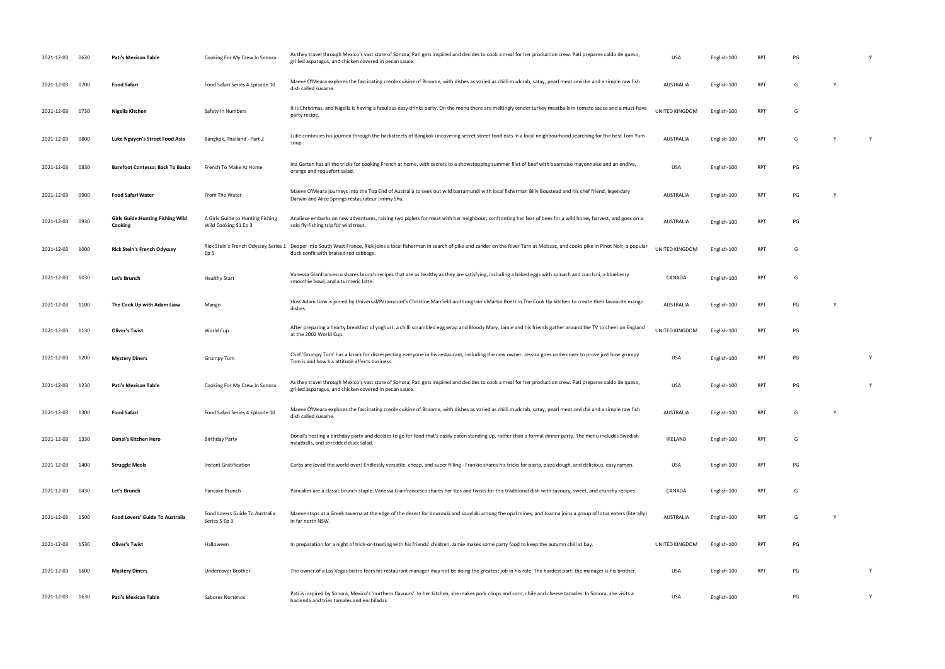| 2021-12-03      | 0630 | Pati's Mexican Table                                | Cooking For My Crew In Sonora                            | As they travel through Mexico's vast state of Sonora, Pati gets inspired and decides to cook a meal for her production crew. Pati prepares caldo de queso,<br>grilled asparagus, and chicken covered in pecan sauce. | <b>USA</b>       | English-100 |            | PG |              | Y |
|-----------------|------|-----------------------------------------------------|----------------------------------------------------------|----------------------------------------------------------------------------------------------------------------------------------------------------------------------------------------------------------------------|------------------|-------------|------------|----|--------------|---|
| 2021-12-03 0700 |      | Food Safari                                         | Food Safari Series 4 Episode 10                          | Maeve O'Meara explores the fascinating creole cuisine of Broome, with dishes as varied as chilli mudcrab, satay, pearl meat ceviche and a simple raw fish<br>dish called susame.                                     | <b>AUSTRALIA</b> | English-100 | RPT        | G  | Y            |   |
| 2021-12-03      | 0730 | Nigella Kitchen                                     | Safety In Numbers                                        | It is Christmas, and Nigella is having a fabulous easy drinks party. On the menu there are meltingly tender turkey meatballs in tomato sauce and a must-have<br>party recipe.                                        | UNITED KINGDOM   | English-100 | RPT        | G  |              |   |
| 2021-12-03      | 0800 | Luke Nguyen's Street Food Asia                      | Bangkok, Thailand - Part 2                               | Luke continues his journey through the backstreets of Bangkok uncovering secret street food eats in a local neighbourhood searching for the best Tom Yum<br>soup.                                                    | <b>AUSTRALIA</b> | English-100 | <b>RPT</b> | G  | $\mathsf{Y}$ | Y |
| 2021-12-03      | 0830 | <b>Barefoot Contessa: Back To Basics</b>            | French To Make At Home                                   | Ina Garten has all the tricks for cooking French at home, with secrets to a showstopping summer filet of beef with bearnaise mayonnaise and an endive,<br>orange and roquefort salad.                                | <b>USA</b>       | English-100 | <b>RPT</b> | PG |              |   |
| 2021-12-03      | 0900 | <b>Food Safari Water</b>                            | From The Water                                           | Maeve O'Meara journeys into the Top End of Australia to seek out wild barramundi with local fisherman Billy Boustead and his chef friend, legendary<br>Darwin and Alice Springs restaurateur Jimmy Shu.              | <b>AUSTRALIA</b> | English-100 | RPT        | PG | <b>Y</b>     |   |
| 2021-12-03      | 0930 | <b>Girls Guide: Hunting Fishing Wild</b><br>Cooking | A Girls Guide to Hunting Fishing<br>Wild Cooking S1 Ep 3 | Analiese embarks on new adventures, raising two piglets for meat with her neighbour, confronting her fear of bees for a wild honey harvest, and goes on a<br>solo fly-fishing trip for wild trout.                   | <b>AUSTRALIA</b> | English-100 | <b>RPT</b> | PG |              |   |
| 2021-12-03      | 1000 | <b>Rick Stein's French Odyssey</b>                  | Rick Stein's French Odyssey Series 1<br>Ep 5             | Deeper into South West France, Rick joins a local fisherman in search of pike and zander on the River Tarn at Moissac, and cooks pike in Pinot Noir, a popular<br>duck confit with braised red cabbage.              | UNITED KINGDOM   | English-100 | RPT        | G  |              |   |
| 2021-12-03      | 1030 | Let's Brunch                                        | <b>Healthy Start</b>                                     | Vanessa Gianfrancesco shares brunch recipes that are as healthy as they are satisfying, including a baked eggs with spinach and zucchini, a blueberry<br>smoothie bowl, and a turmeric latte.                        | CANADA           | English-100 | <b>RPT</b> | G  |              |   |
| 2021-12-03      | 1100 | The Cook Up with Adam Liaw                          | Mango                                                    | Host Adam Liaw is joined by Universal/Paramount's Christine Manfield and Longrain's Martin Boetz in The Cook Up kitchen to create their favourite mango<br>dishes.                                                   | <b>AUSTRALIA</b> | English-100 | RPT        | PG | <b>Y</b>     |   |
| 2021-12-03      | 1130 | <b>Oliver's Twist</b>                               | World Cup                                                | After preparing a hearty breakfast of yoghurt, a chilli scrambled egg wrap and Bloody Mary, Jamie and his friends gather around the TV to cheer on England<br>at the 2002 World Cup.                                 | UNITED KINGDOM   | English-100 | <b>RPT</b> | PG |              |   |
| 2021-12-03      | 1200 | <b>Mystery Diners</b>                               | Grumpy Tom                                               | Chef 'Grumpy Tom' has a knack for disrespecting everyone in his restaurant, including the new owner. Jessica goes undercover to prove just how grumpy<br>Tom is and how his attitude affects business.               | <b>USA</b>       | English-100 | RPT        | PG |              | Y |
| 2021-12-03 1230 |      | Pati's Mexican Table                                | Cooking For My Crew In Sonora                            | As they travel through Mexico's vast state of Sonora, Pati gets inspired and decides to cook a meal for her production crew. Pati prepares caldo de queso,<br>grilled asparagus, and chicken covered in pecan sauce. | <b>USA</b>       | English-100 | RPT        | PG |              | Y |
| 2021-12-03      | 1300 | Food Safari                                         | Food Safari Series 4 Episode 10                          | Maeve O'Meara explores the fascinating creole cuisine of Broome, with dishes as varied as chilli mudcrab, satay, pearl meat ceviche and a simple raw fish<br>dish called susame.                                     | <b>AUSTRALIA</b> | English-100 | RPT        | G  |              |   |
| 2021-12-03      | 1330 | Donal's Kitchen Hero                                | <b>Birthday Party</b>                                    | Donal's hosting a birthday party and decides to go for food that's easily eaten standing up, rather than a formal dinner party. The menu includes Swedish<br>meatballs, and shredded duck salad.                     | <b>IRELAND</b>   | English-100 | <b>RPT</b> | G  |              |   |
| 2021-12-03      | 1400 | <b>Struggle Meals</b>                               | Instant Gratification                                    | Carbs are loved the world over! Endlessly versatile, cheap, and super filling - Frankie shares his tricks for pasta, pizza dough, and delicious, easy ramen.                                                         | USA              | English-100 | <b>RPT</b> | PG |              |   |
| 2021-12-03      | 1430 | Let's Brunch                                        | Pancake Brunch                                           | Pancakes are a classic brunch staple. Vanessa Gianfrancesco shares her tips and twists for this traditional dish with savoury, sweet, and crunchy recipes.                                                           | CANADA           | English-100 | RPT        | G  |              |   |
| 2021-12-03      | 1500 | <b>Food Lovers' Guide To Australia</b>              | Food Lovers Guide To Australia<br>Series 5 Ep 3          | Maeve stops at a Greek taverna at the edge of the desert for bouzouki and souvlaki among the opal mines, and Joanna joins a group of lotus eaters (literally)<br>in far north NSW.                                   | <b>AUSTRALIA</b> | English-100 | <b>RPT</b> | G  | Y            |   |
| 2021-12-03      | 1530 | <b>Oliver's Twist</b>                               | Halloween                                                | In preparation for a night of trick-or-treating with his friends' children, Jamie makes some party food to keep the autumn chill at bay.                                                                             | UNITED KINGDOM   | English-100 | <b>RPT</b> | PG |              |   |
| 2021-12-03      | 1600 | <b>Mystery Diners</b>                               | Undercover Brother                                       | The owner of a Las Vegas bistro fears his restaurant manager may not be doing the greatest job in his role. The hardest part: the manager is his brother.                                                            | <b>USA</b>       | English-100 | <b>RPT</b> | PG |              | Y |
| 2021-12-03      | 1630 | Pati's Mexican Table                                | Sabores Nortenos                                         | Pati is inspired by Sonora, Mexico's 'northern flavours'. In her kitchen, she makes pork chops and corn, chile and cheese tamales. In Sonora, she visits a<br>hacienda and tries tamales and enchiladas.             | <b>USA</b>       | English-100 |            | PG |              | Y |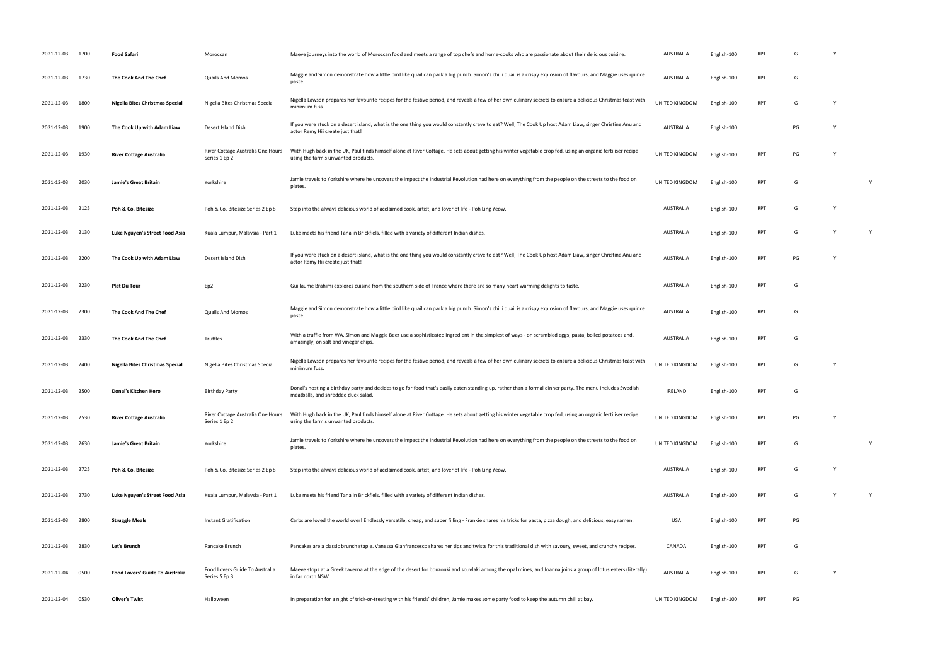| 2021-12-03 1700 |      | <b>Food Safari</b>              | Moroccan                                           | Maeve journeys into the world of Moroccan food and meets a range of top chefs and home-cooks who are passionate about their delicious cuisine.                                                      | <b>AUSTRALIA</b> | English-100 | RPT        | G  |          |              |
|-----------------|------|---------------------------------|----------------------------------------------------|-----------------------------------------------------------------------------------------------------------------------------------------------------------------------------------------------------|------------------|-------------|------------|----|----------|--------------|
| 2021-12-03      | 1730 | The Cook And The Chef           | <b>Quails And Momos</b>                            | Maggie and Simon demonstrate how a little bird like quail can pack a big punch. Simon's chilli quail is a crispy explosion of flavours, and Maggie uses quince<br>paste.                            | <b>AUSTRALIA</b> | English-100 | <b>RPT</b> | G  |          |              |
| 2021-12-03      | 1800 | Nigella Bites Christmas Special | Nigella Bites Christmas Special                    | Nigella Lawson prepares her favourite recipes for the festive period, and reveals a few of her own culinary secrets to ensure a delicious Christmas feast with<br>minimum fuss.                     | UNITED KINGDOM   | English-100 | <b>RPT</b> | G  | Y        |              |
| 2021-12-03      | 1900 | The Cook Up with Adam Liaw      | Desert Island Dish                                 | If you were stuck on a desert island, what is the one thing you would constantly crave to eat? Well, The Cook Up host Adam Liaw, singer Christine Anu and<br>actor Remy Hii create just that!       | AUSTRALIA        | English-100 |            | PG | <b>Y</b> |              |
| 2021-12-03      | 1930 | <b>River Cottage Australia</b>  | River Cottage Australia One Hours<br>Series 1 Ep 2 | With Hugh back in the UK, Paul finds himself alone at River Cottage. He sets about getting his winter vegetable crop fed, using an organic fertiliser recipe<br>using the farm's unwanted products. | UNITED KINGDOM   | English-100 | <b>RPT</b> | PG |          |              |
| 2021-12-03      | 2030 | Jamie's Great Britain           | Yorkshire                                          | Jamie travels to Yorkshire where he uncovers the impact the Industrial Revolution had here on everything from the people on the streets to the food on<br>plates.                                   | UNITED KINGDOM   | English-100 | <b>RPT</b> | G  |          | $\mathsf{Y}$ |
| 2021-12-03      | 2125 | Poh & Co. Bitesize              | Poh & Co. Bitesize Series 2 Ep 8                   | Step into the always delicious world of acclaimed cook, artist, and lover of life - Poh Ling Yeow.                                                                                                  | AUSTRALIA        | English-100 | <b>RPT</b> | G  | Y        |              |
| 2021-12-03      | 2130 | Luke Nguyen's Street Food Asia  | Kuala Lumpur, Malaysia - Part 1                    | Luke meets his friend Tana in Brickfiels, filled with a variety of different Indian dishes.                                                                                                         | <b>AUSTRALIA</b> | English-100 | <b>RPT</b> | G  | Y        | Y            |
| 2021-12-03      | 2200 | The Cook Up with Adam Liaw      | Desert Island Dish                                 | If you were stuck on a desert island, what is the one thing you would constantly crave to eat? Well, The Cook Up host Adam Liaw, singer Christine Anu and<br>actor Remy Hii create just that!       | AUSTRALIA        | English-100 | <b>RPT</b> | PG | <b>V</b> |              |
| 2021-12-03      | 2230 | Plat Du Tour                    | Ep2                                                | Guillaume Brahimi explores cuisine from the southern side of France where there are so many heart warming delights to taste.                                                                        | AUSTRALIA        | English-100 | RPT        | G  |          |              |
| 2021-12-03 2300 |      | The Cook And The Chef           | Quails And Momos                                   | Maggie and Simon demonstrate how a little bird like quail can pack a big punch. Simon's chilli quail is a crispy explosion of flavours, and Maggie uses quince<br>paste.                            | <b>AUSTRALIA</b> | English-100 | <b>RPT</b> | G  |          |              |
| 2021-12-03      | 2330 | The Cook And The Chef           | Truffles                                           | With a truffle from WA, Simon and Maggie Beer use a sophisticated ingredient in the simplest of ways - on scrambled eggs, pasta, boiled potatoes and,<br>amazingly, on salt and vinegar chips.      | <b>AUSTRALIA</b> | English-100 | <b>RPT</b> | G  |          |              |
| 2021-12-03      | 2400 | Nigella Bites Christmas Special | Nigella Bites Christmas Special                    | Nigella Lawson prepares her favourite recipes for the festive period, and reveals a few of her own culinary secrets to ensure a delicious Christmas feast with<br>minimum fuss.                     | UNITED KINGDOM   | English-100 | <b>RPT</b> | G  | <b>Y</b> |              |
| 2021-12-03      | 2500 | Donal's Kitchen Hero            | <b>Birthday Party</b>                              | Donal's hosting a birthday party and decides to go for food that's easily eaten standing up, rather than a formal dinner party. The menu includes Swedish<br>meatballs, and shredded duck salad.    | <b>IRELAND</b>   | English-100 | RPT        | G  |          |              |
| 2021-12-03      | 2530 | <b>River Cottage Australia</b>  | River Cottage Australia One Hours<br>Series 1 Ep 2 | With Hugh back in the UK, Paul finds himself alone at River Cottage. He sets about getting his winter vegetable crop fed, using an organic fertiliser recipe<br>using the farm's unwanted products. | UNITED KINGDOM   | English-100 | RPT        | PG | Y        |              |
| 2021-12-03 2630 |      | Jamie's Great Britain           | Yorkshire                                          | Jamie travels to Yorkshire where he uncovers the impact the Industrial Revolution had here on everything from the people on the streets to the food on<br>plates.                                   | UNITED KINGDOM   | English-100 | <b>RPT</b> | G  |          | Y            |
| 2021-12-03 2725 |      | Poh & Co. Bitesize              | Poh & Co. Bitesize Series 2 Ep 8                   | Step into the always delicious world of acclaimed cook, artist, and lover of life - Poh Ling Yeow.                                                                                                  | <b>AUSTRALIA</b> | English-100 | <b>RPT</b> | G  | Y        |              |
| 2021-12-03      | 2730 | Luke Nguyen's Street Food Asia  | Kuala Lumpur, Malaysia - Part 1                    | Luke meets his friend Tana in Brickfiels, filled with a variety of different Indian dishes.                                                                                                         | AUSTRALIA        | English-100 | <b>RPT</b> | G  | Y        | Y            |
| 2021-12-03      | 2800 | <b>Struggle Meals</b>           | Instant Gratification                              | Carbs are loved the world over! Endlessly versatile, cheap, and super filling - Frankie shares his tricks for pasta, pizza dough, and delicious, easy ramen.                                        | USA              | English-100 | <b>RPT</b> | PG |          |              |
| 2021-12-03      | 2830 | Let's Brunch                    | Pancake Brunch                                     | Pancakes are a classic brunch staple. Vanessa Gianfrancesco shares her tips and twists for this traditional dish with savoury, sweet, and crunchy recipes.                                          | CANADA           | English-100 | RPT        | G  |          |              |
| 2021-12-04      | 0500 | Food Lovers' Guide To Australia | Food Lovers Guide To Australia<br>Series 5 Ep 3    | Maeve stops at a Greek taverna at the edge of the desert for bouzouki and souvlaki among the opal mines, and Joanna joins a group of lotus eaters (literally)<br>in far north NSW.                  | <b>AUSTRALIA</b> | English-100 | <b>RPT</b> | G  | Y        |              |
| 2021-12-04      | 0530 | <b>Oliver's Twist</b>           | Halloween                                          | In preparation for a night of trick-or-treating with his friends' children, Jamie makes some party food to keep the autumn chill at bay.                                                            | UNITED KINGDOM   | English-100 | <b>RPT</b> | PG |          |              |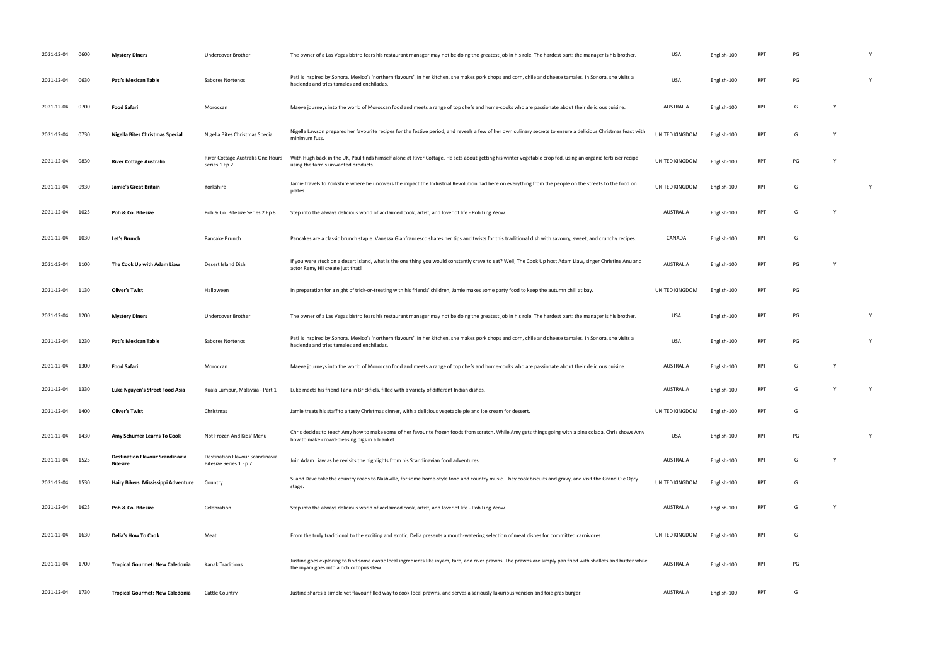| 2021-12-04 | 0600 | <b>Mystery Diners</b>                                     | Undercover Brother                                        | The owner of a Las Vegas bistro fears his restaurant manager may not be doing the greatest job in his role. The hardest part: the manager is his brother.                                                   | USA              | English-100 | <b>RPT</b> | PG |   |   |
|------------|------|-----------------------------------------------------------|-----------------------------------------------------------|-------------------------------------------------------------------------------------------------------------------------------------------------------------------------------------------------------------|------------------|-------------|------------|----|---|---|
| 2021-12-04 | 0630 | Pati's Mexican Table                                      | Sabores Nortenos                                          | Pati is inspired by Sonora, Mexico's 'northern flavours'. In her kitchen, she makes pork chops and corn, chile and cheese tamales. In Sonora, she visits a<br>hacienda and tries tamales and enchiladas.    | <b>USA</b>       | English-100 | <b>RPT</b> | PG |   |   |
| 2021-12-04 | 0700 | <b>Food Safari</b>                                        | Moroccan                                                  | Maeve journeys into the world of Moroccan food and meets a range of top chefs and home-cooks who are passionate about their delicious cuisine.                                                              | AUSTRALIA        | English-100 | <b>RPT</b> | G  |   |   |
| 2021-12-04 | 0730 | Nigella Bites Christmas Special                           | Nigella Bites Christmas Special                           | Nigella Lawson prepares her favourite recipes for the festive period, and reveals a few of her own culinary secrets to ensure a delicious Christmas feast with<br>minimum fuss.                             | UNITED KINGDOM   | English-100 | <b>RPT</b> | G  |   |   |
| 2021-12-04 | 0830 | <b>River Cottage Australia</b>                            | River Cottage Australia One Hours<br>Series 1 Ep 2        | With Hugh back in the UK, Paul finds himself alone at River Cottage. He sets about getting his winter vegetable crop fed, using an organic fertiliser recipe<br>using the farm's unwanted products.         | UNITED KINGDOM   | English-100 | <b>RPT</b> | PG |   |   |
| 2021-12-04 | 0930 | Jamie's Great Britain                                     | Yorkshire                                                 | Jamie travels to Yorkshire where he uncovers the impact the Industrial Revolution had here on everything from the people on the streets to the food on<br>plates.                                           | UNITED KINGDOM   | English-100 | <b>RPT</b> | G  |   |   |
| 2021-12-04 | 1025 | Poh & Co. Bitesize                                        | Poh & Co. Bitesize Series 2 Ep 8                          | Step into the always delicious world of acclaimed cook, artist, and lover of life - Poh Ling Yeow.                                                                                                          | <b>AUSTRALIA</b> | English-100 | <b>RPT</b> | G  | Y |   |
| 2021-12-04 | 1030 | Let's Brunch                                              | Pancake Brunch                                            | Pancakes are a classic brunch staple. Vanessa Gianfrancesco shares her tips and twists for this traditional dish with savoury, sweet, and crunchy recipes.                                                  | CANADA           | English-100 | <b>RPT</b> | G  |   |   |
| 2021-12-04 | 1100 | The Cook Up with Adam Liaw                                | Desert Island Dish                                        | If you were stuck on a desert island, what is the one thing you would constantly crave to eat? Well, The Cook Up host Adam Liaw, singer Christine Anu and<br>actor Remy Hii create just that!               | <b>AUSTRALIA</b> | English-100 | <b>RPT</b> | PG |   |   |
| 2021-12-04 | 1130 | <b>Oliver's Twist</b>                                     | Halloween                                                 | In preparation for a night of trick-or-treating with his friends' children, Jamie makes some party food to keep the autumn chill at bay.                                                                    | UNITED KINGDOM   | English-100 | <b>RPT</b> | PG |   |   |
| 2021-12-04 | 1200 | <b>Mystery Diners</b>                                     | Undercover Brother                                        | The owner of a Las Vegas bistro fears his restaurant manager may not be doing the greatest job in his role. The hardest part: the manager is his brother.                                                   | USA              | English-100 | <b>RPT</b> | PG |   |   |
| 2021-12-04 | 1230 | Pati's Mexican Table                                      | Sabores Nortenos                                          | Pati is inspired by Sonora, Mexico's 'northern flavours'. In her kitchen, she makes pork chops and corn, chile and cheese tamales. In Sonora, she visits a<br>hacienda and tries tamales and enchiladas.    | USA              | English-100 | <b>RPT</b> | PG |   | Y |
| 2021-12-04 | 1300 | <b>Food Safari</b>                                        | Moroccan                                                  | Maeve journeys into the world of Moroccan food and meets a range of top chefs and home-cooks who are passionate about their delicious cuisine.                                                              | AUSTRALIA        | English-100 | <b>RPT</b> | G  |   |   |
| 2021-12-04 | 1330 | Luke Nguyen's Street Food Asia                            | Kuala Lumpur, Malaysia - Part 1                           | Luke meets his friend Tana in Brickfiels, filled with a variety of different Indian dishes.                                                                                                                 | AUSTRALIA        | English-100 | <b>RPT</b> | G  |   | Y |
| 2021-12-04 | 1400 | <b>Oliver's Twist</b>                                     | Christmas                                                 | Jamie treats his staff to a tasty Christmas dinner, with a delicious vegetable pie and ice cream for dessert.                                                                                               | UNITED KINGDOM   | English-100 | <b>RPT</b> | G  |   |   |
| 2021-12-04 | 1430 | Amy Schumer Learns To Cook                                | Not Frozen And Kids' Menu                                 | Chris decides to teach Amy how to make some of her favourite frozen foods from scratch. While Amy gets things going with a pina colada, Chris shows Amy<br>how to make crowd-pleasing pigs in a blanket.    | USA              | English-100 | <b>RPT</b> | PG |   |   |
| 2021-12-04 | 1525 | <b>Destination Flavour Scandinavia</b><br><b>Bitesize</b> | Destination Flavour Scandinavia<br>Bitesize Series 1 Ep 7 | Join Adam Liaw as he revisits the highlights from his Scandinavian food adventures.                                                                                                                         | AUSTRALIA        | English-100 | <b>RPT</b> | G  | Y |   |
| 2021-12-04 | 1530 | Hairy Bikers' Mississippi Adventure                       | Country                                                   | Si and Dave take the country roads to Nashville, for some home-style food and country music. They cook biscuits and gravy, and visit the Grand Ole Opry<br>stage.                                           | UNITED KINGDOM   | English-100 | <b>RPT</b> | G  |   |   |
| 2021-12-04 | 1625 | Poh & Co. Bitesize                                        | Celebration                                               | Step into the always delicious world of acclaimed cook, artist, and lover of life - Poh Ling Yeow.                                                                                                          | AUSTRALIA        | English-100 | <b>RPT</b> | G  |   |   |
| 2021-12-04 | 1630 | <b>Delia's How To Cook</b>                                | Meat                                                      | From the truly traditional to the exciting and exotic, Delia presents a mouth-watering selection of meat dishes for committed carnivores.                                                                   | UNITED KINGDOM   | English-100 | <b>RPT</b> | G  |   |   |
| 2021-12-04 | 1700 | <b>Tropical Gourmet: New Caledonia</b>                    | <b>Kanak Traditions</b>                                   | Justine goes exploring to find some exotic local ingredients like inyam, taro, and river prawns. The prawns are simply pan fried with shallots and butter while<br>the inyam goes into a rich octopus stew. | <b>AUSTRALIA</b> | English-100 | <b>RPT</b> | PG |   |   |
| 2021-12-04 | 1730 | <b>Tropical Gourmet: New Caledonia</b>                    | Cattle Country                                            | Justine shares a simple yet flavour filled way to cook local prawns, and serves a seriously luxurious venison and foie gras burger.                                                                         | AUSTRALIA        | English-100 | <b>RPT</b> | G  |   |   |